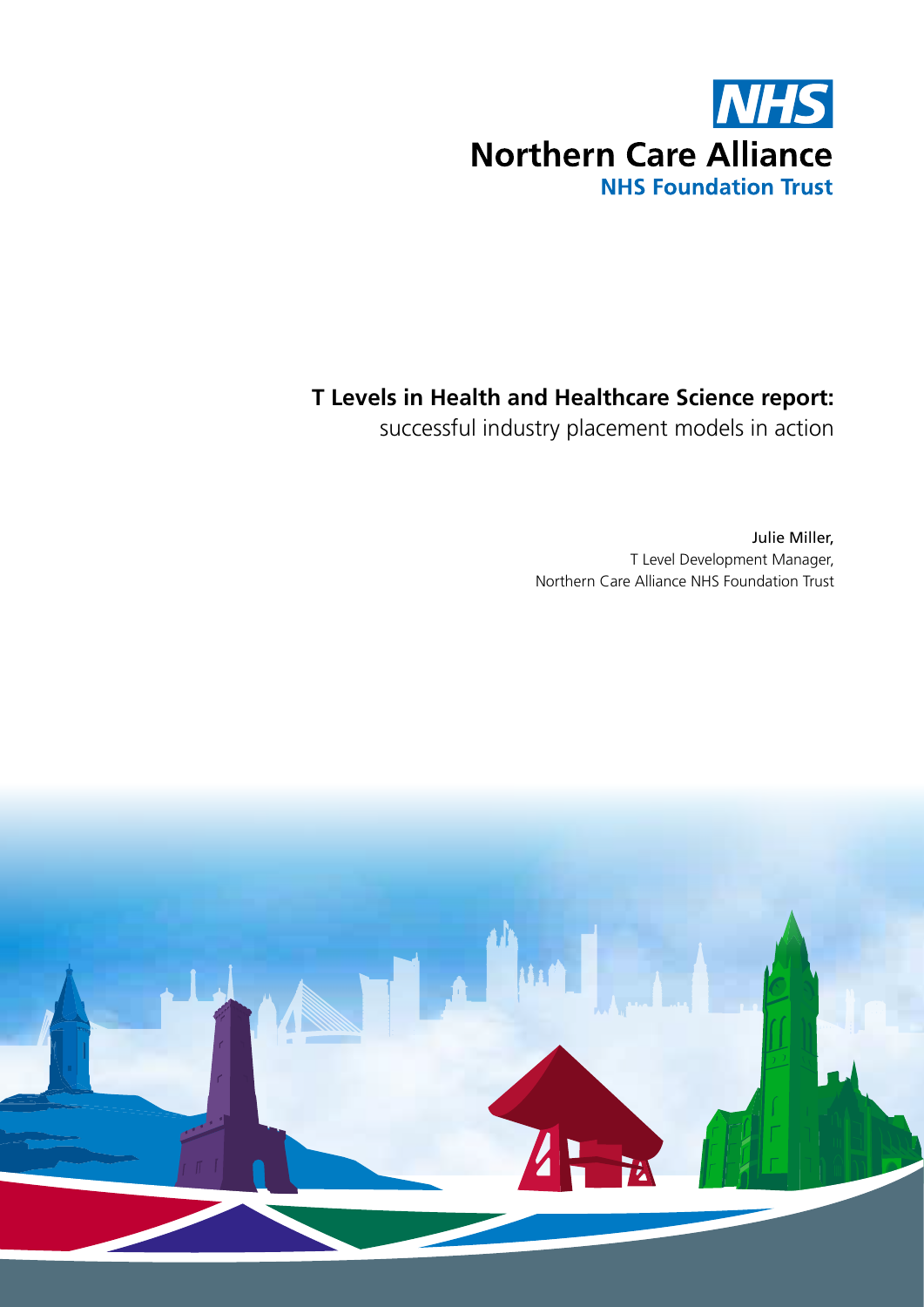

### **T Levels in Health and Healthcare Science report:**

successful industry placement models in action

Julie Miller, T Level Development Manager, Northern Care Alliance NHS Foundation Trust

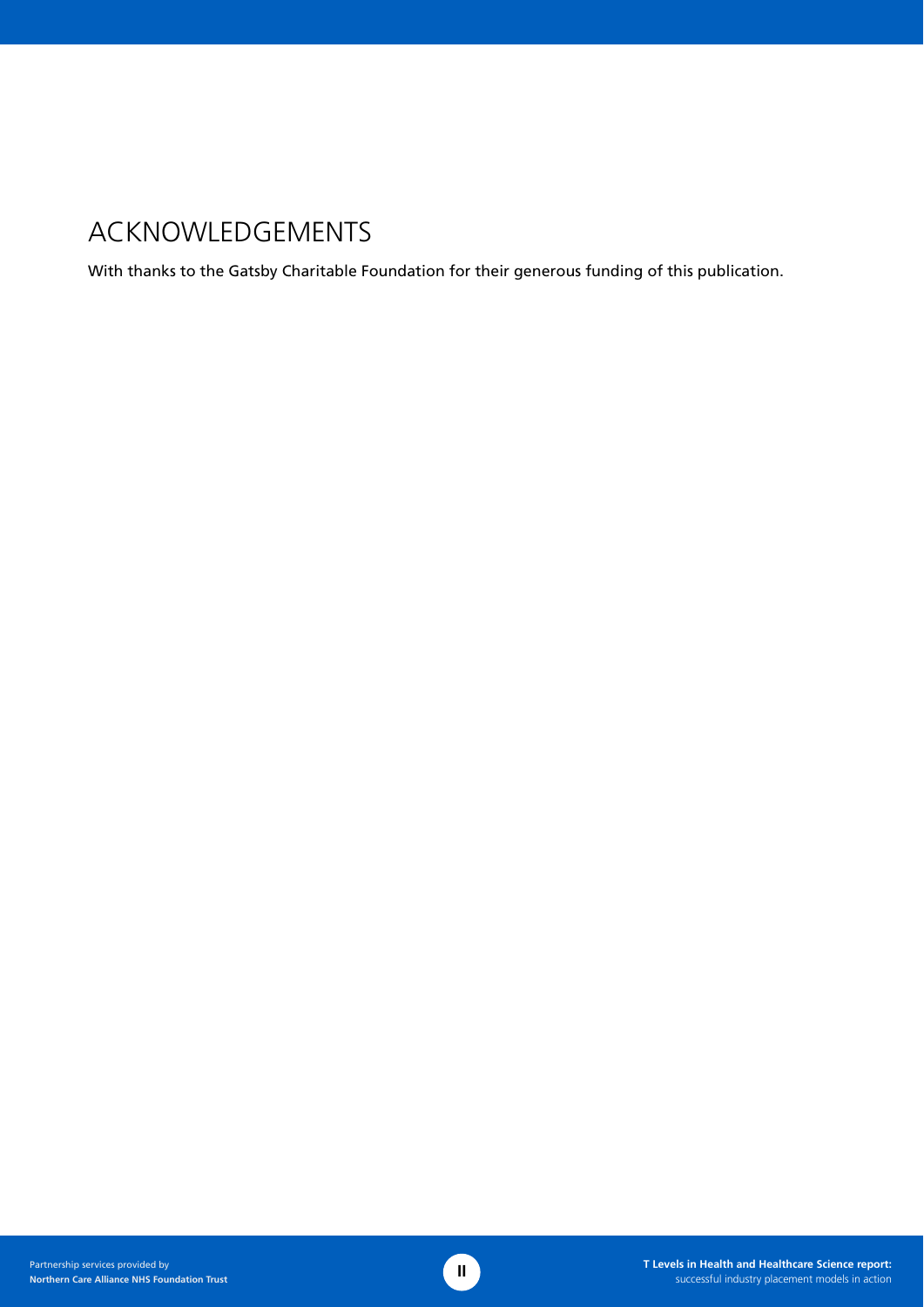# ACKNOWLEDGEMENTS

With thanks to the Gatsby Charitable Foundation for their generous funding of this publication.

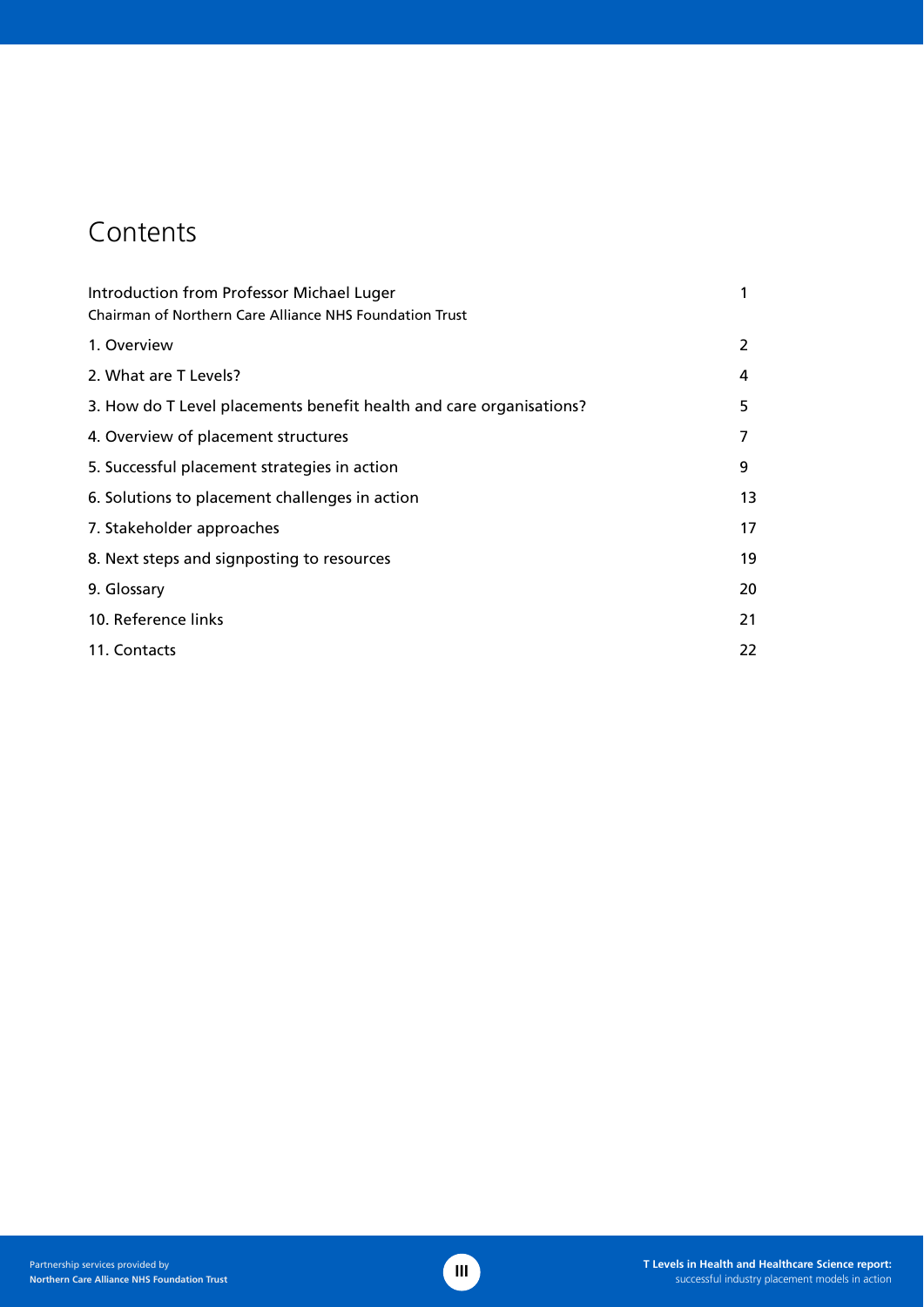# **Contents**

| Introduction from Professor Michael Luger                           |    |
|---------------------------------------------------------------------|----|
| Chairman of Northern Care Alliance NHS Foundation Trust             |    |
| 1. Overview                                                         | 2  |
| 2. What are T Levels?                                               | 4  |
| 3. How do T Level placements benefit health and care organisations? | 5  |
| 4. Overview of placement structures                                 | 7  |
| 5. Successful placement strategies in action                        | 9  |
| 6. Solutions to placement challenges in action                      | 13 |
| 7. Stakeholder approaches                                           | 17 |
| 8. Next steps and signposting to resources                          | 19 |
| 9. Glossary                                                         | 20 |
| 10. Reference links                                                 | 21 |
| 11. Contacts                                                        | 22 |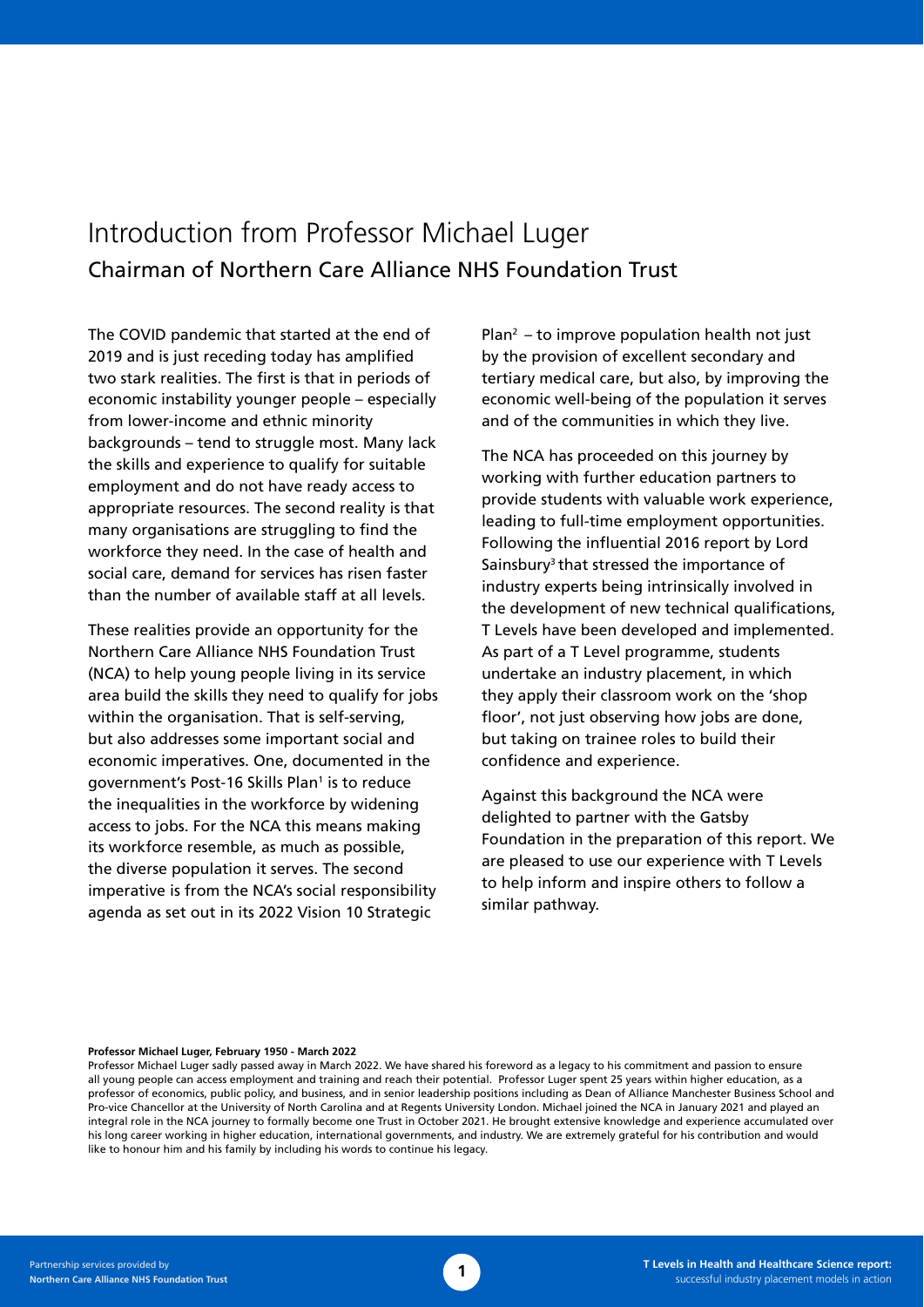# Introduction from Professor Michael Luger Chairman of Northern Care Alliance NHS Foundation Trust

The COVID pandemic that started at the end of 2019 and is just receding today has amplified two stark realities. The first is that in periods of economic instability younger people – especially from lower-income and ethnic minority backgrounds – tend to struggle most. Many lack the skills and experience to qualify for suitable employment and do not have ready access to appropriate resources. The second reality is that many organisations are struggling to find the workforce they need. In the case of health and social care, demand for services has risen faster than the number of available staff at all levels.

These realities provide an opportunity for the Northern Care Alliance NHS Foundation Trust (NCA) to help young people living in its service area build the skills they need to qualify for jobs within the organisation. That is self-serving, but also addresses some important social and economic imperatives. One, documented in the government's Post-16 Skills Plan<sup>1</sup> is to reduce the inequalities in the workforce by widening access to jobs. For the NCA this means making its workforce resemble, as much as possible, the diverse population it serves. The second imperative is from the NCA's social responsibility agenda as set out in its 2022 Vision 10 Strategic

 $Plan<sup>2</sup> - to improve population health not just$ by the provision of excellent secondary and tertiary medical care, but also, by improving the economic well-being of the population it serves and of the communities in which they live.

The NCA has proceeded on this journey by working with further education partners to provide students with valuable work experience, leading to full-time employment opportunities. Following the influential 2016 report by Lord Sainsbury<sup>3</sup> that stressed the importance of industry experts being intrinsically involved in the development of new technical qualifications, T Levels have been developed and implemented. As part of a T Level programme, students undertake an industry placement, in which they apply their classroom work on the 'shop floor', not just observing how jobs are done, but taking on trainee roles to build their confidence and experience.

Against this background the NCA were delighted to partner with the Gatsby Foundation in the preparation of this report. We are pleased to use our experience with T Levels to help inform and inspire others to follow a similar pathway.

#### **Professor Michael Luger, February 1950 - March 2022**

Professor Michael Luger sadly passed away in March 2022. We have shared his foreword as a legacy to his commitment and passion to ensure all young people can access employment and training and reach their potential. Professor Luger spent 25 years within higher education, as a professor of economics, public policy, and business, and in senior leadership positions including as Dean of Alliance Manchester Business School and Pro-vice Chancellor at the University of North Carolina and at Regents University London. Michael joined the NCA in January 2021 and played an integral role in the NCA journey to formally become one Trust in October 2021. He brought extensive knowledge and experience accumulated over his long career working in higher education, international governments, and industry. We are extremely grateful for his contribution and would like to honour him and his family by including his words to continue his legacy.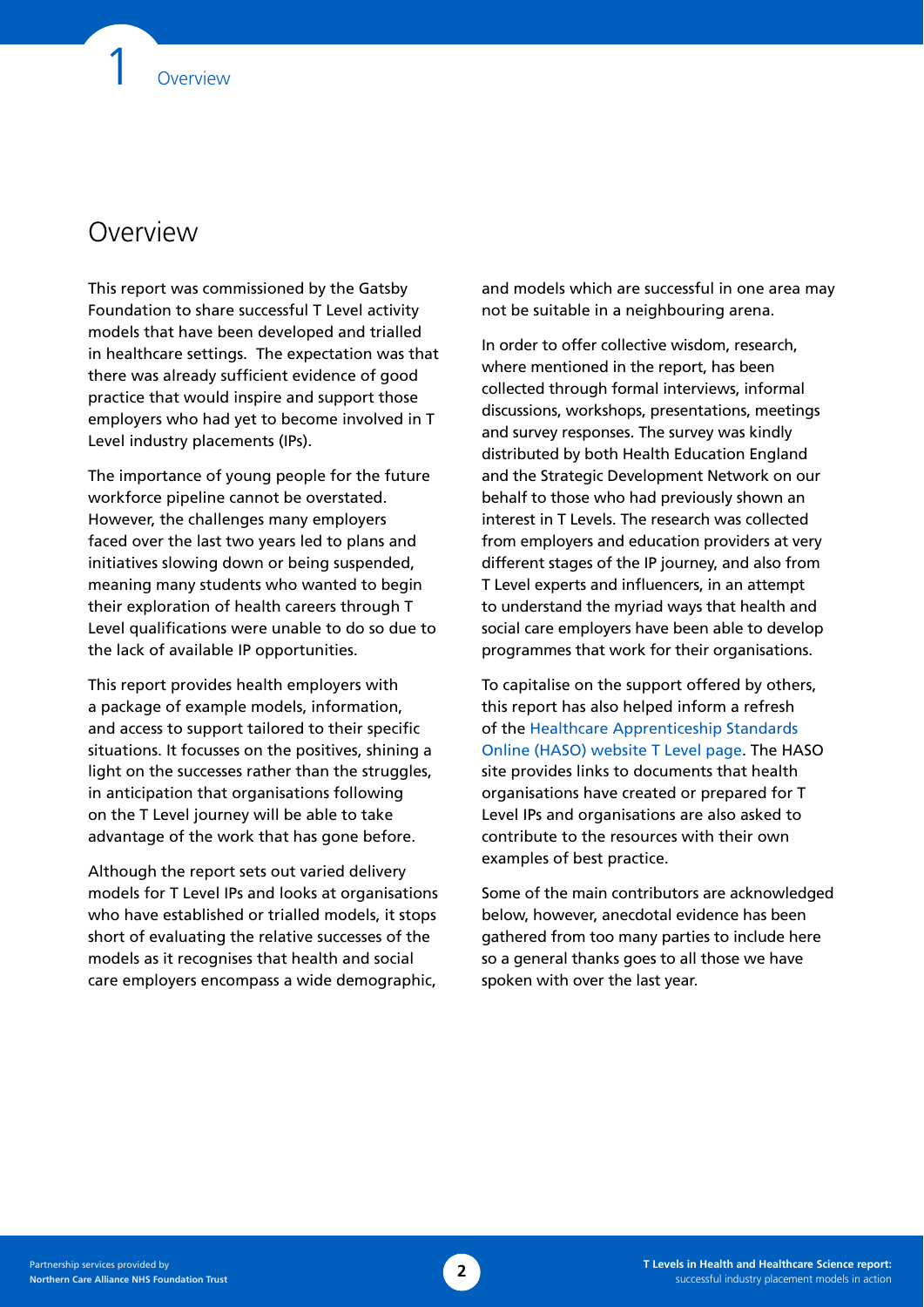### **Overview**

This report was commissioned by the Gatsby Foundation to share successful T Level activity models that have been developed and trialled in healthcare settings. The expectation was that there was already sufficient evidence of good practice that would inspire and support those employers who had yet to become involved in T Level industry placements (IPs).

The importance of young people for the future workforce pipeline cannot be overstated. However, the challenges many employers faced over the last two years led to plans and initiatives slowing down or being suspended, meaning many students who wanted to begin their exploration of health careers through T Level qualifications were unable to do so due to the lack of available IP opportunities.

This report provides health employers with a package of example models, information, and access to support tailored to their specific situations. It focusses on the positives, shining a light on the successes rather than the struggles, in anticipation that organisations following on the T Level journey will be able to take advantage of the work that has gone before.

Although the report sets out varied delivery models for T Level IPs and looks at organisations who have established or trialled models, it stops short of evaluating the relative successes of the models as it recognises that health and social care employers encompass a wide demographic,

and models which are successful in one area may not be suitable in a neighbouring arena.

In order to offer collective wisdom, research, where mentioned in the report, has been collected through formal interviews, informal discussions, workshops, presentations, meetings and survey responses. The survey was kindly distributed by both Health Education England and the Strategic Development Network on our behalf to those who had previously shown an interest in T Levels. The research was collected from employers and education providers at very different stages of the IP journey, and also from T Level experts and influencers, in an attempt to understand the myriad ways that health and social care employers have been able to develop programmes that work for their organisations.

To capitalise on the support offered by others, this report has also helped inform a refresh of the [Healthcare Apprenticeship Standards](https://haso.skillsforhealth.org.uk/t-levels/)  [Online \(HASO\) website T Level page](https://haso.skillsforhealth.org.uk/t-levels/). The HASO site provides links to documents that health organisations have created or prepared for T Level IPs and organisations are also asked to contribute to the resources with their own examples of best practice.

Some of the main contributors are acknowledged below, however, anecdotal evidence has been gathered from too many parties to include here so a general thanks goes to all those we have spoken with over the last year.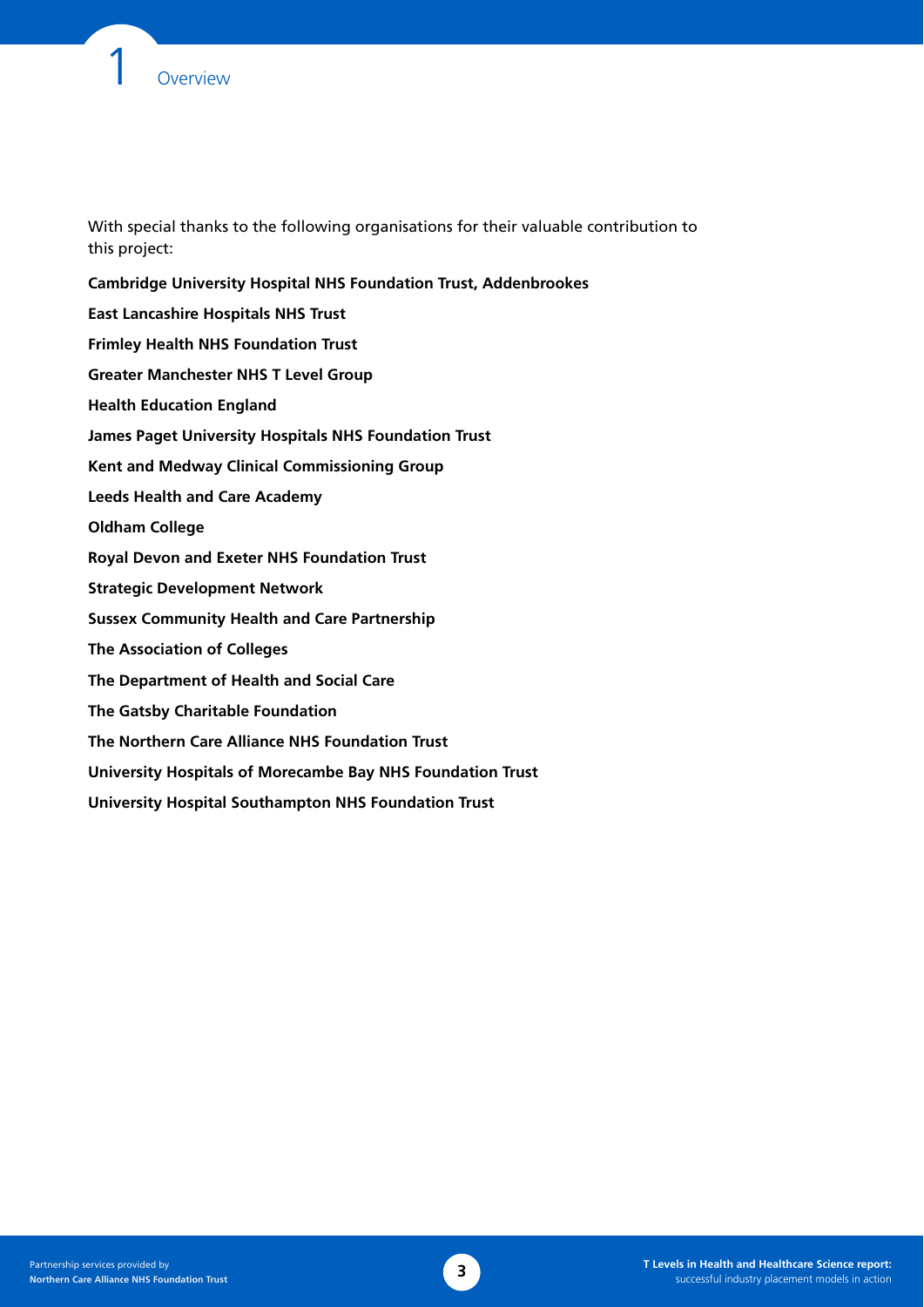

With special thanks to the following organisations for their valuable contribution to this project:

**Cambridge University Hospital NHS Foundation Trust, Addenbrookes East Lancashire Hospitals NHS Trust Frimley Health NHS Foundation Trust Greater Manchester NHS T Level Group Health Education England James Paget University Hospitals NHS Foundation Trust Kent and Medway Clinical Commissioning Group Leeds Health and Care Academy Oldham College Royal Devon and Exeter NHS Foundation Trust Strategic Development Network Sussex Community Health and Care Partnership The Association of Colleges The Department of Health and Social Care The Gatsby Charitable Foundation The Northern Care Alliance NHS Foundation Trust University Hospitals of Morecambe Bay NHS Foundation Trust University Hospital Southampton NHS Foundation Trust**

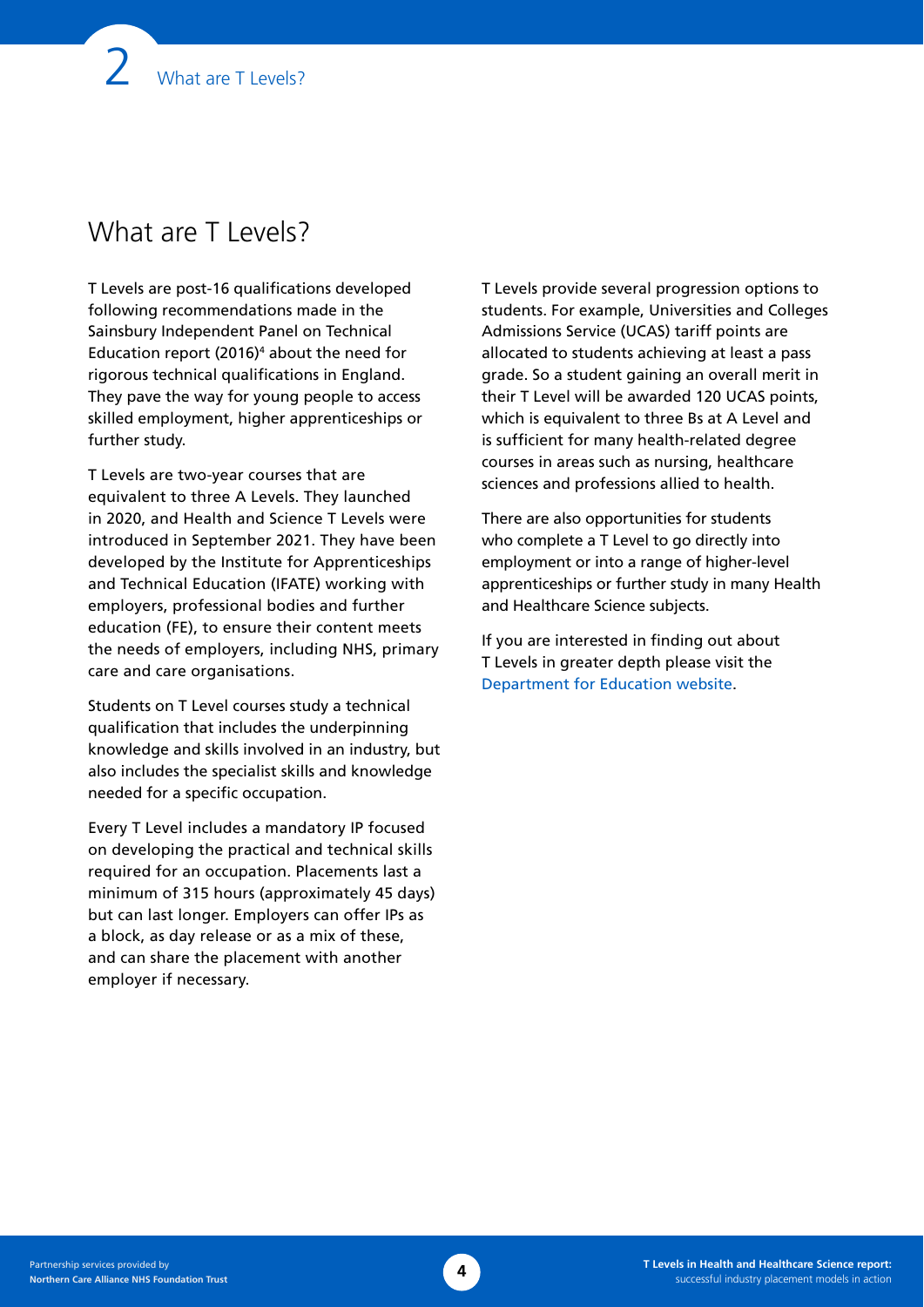# What are T Levels?

T Levels are post-16 qualifications developed following recommendations made in the Sainsbury Independent Panel on Technical Education report (2016)4 about the need for rigorous technical qualifications in England. They pave the way for young people to access skilled employment, higher apprenticeships or further study.

T Levels are two-year courses that are equivalent to three A Levels. They launched in 2020, and Health and Science T Levels were introduced in September 2021. They have been developed by the Institute for Apprenticeships and Technical Education (IFATE) working with employers, professional bodies and further education (FE), to ensure their content meets the needs of employers, including NHS, primary care and care organisations.

Students on T Level courses study a technical qualification that includes the underpinning knowledge and skills involved in an industry, but also includes the specialist skills and knowledge needed for a specific occupation.

Every T Level includes a mandatory IP focused on developing the practical and technical skills required for an occupation. Placements last a minimum of 315 hours (approximately 45 days) but can last longer. Employers can offer IPs as a block, as day release or as a mix of these, and can share the placement with another employer if necessary.

T Levels provide several progression options to students. For example, Universities and Colleges Admissions Service (UCAS) tariff points are allocated to students achieving at least a pass grade. So a student gaining an overall merit in their T Level will be awarded 120 UCAS points, which is equivalent to three Bs at A Level and is sufficient for many health-related degree courses in areas such as nursing, healthcare sciences and professions allied to health.

There are also opportunities for students who complete a T Level to go directly into employment or into a range of higher-level apprenticeships or further study in many Health and Healthcare Science subjects.

If you are interested in finding out about T Levels in greater depth please visit the [Department for Education website](https://www.gov.uk/government/publications/introduction-of-t-levels/introduction-of-t-levels).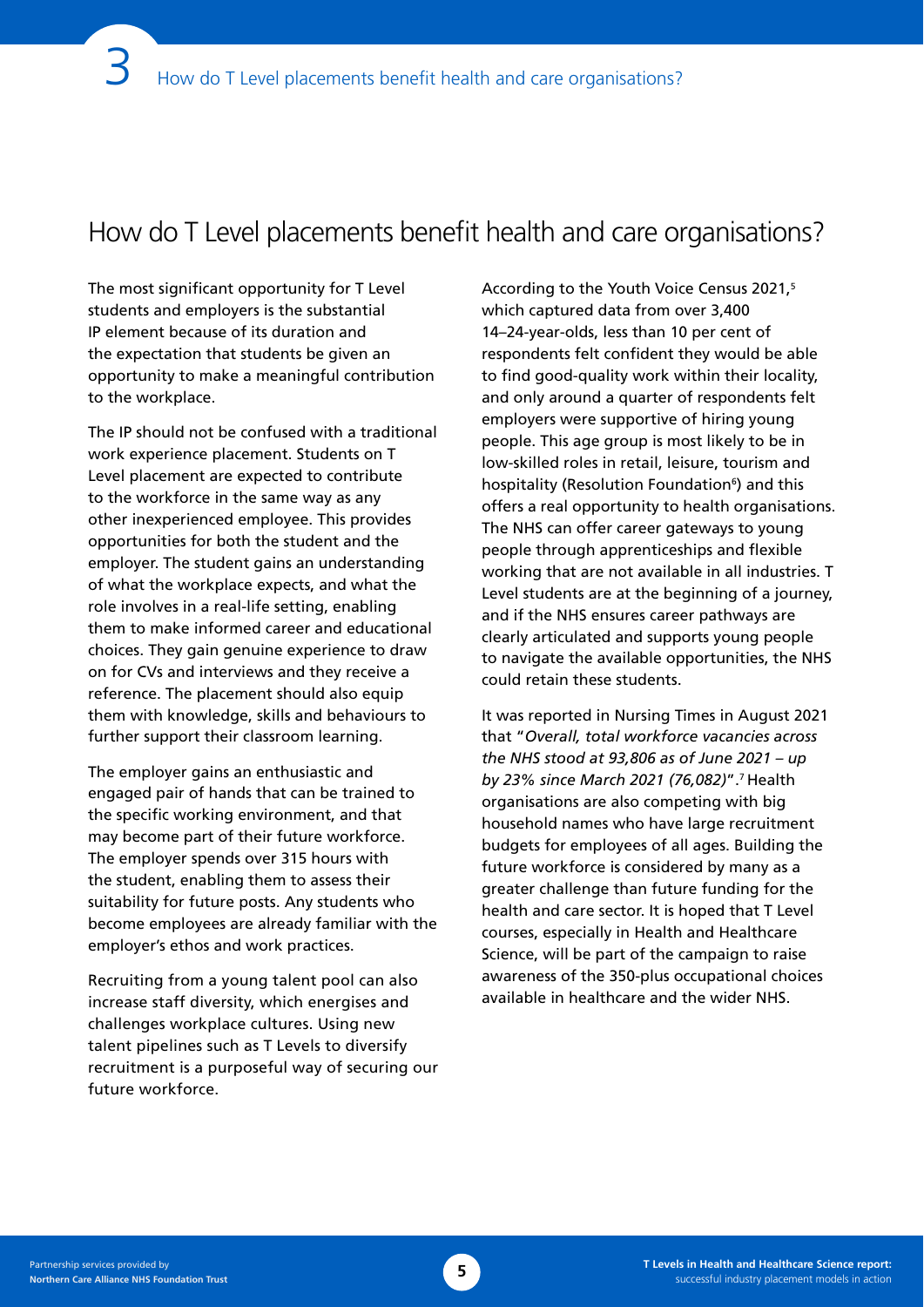# How do T Level placements benefit health and care organisations?

The most significant opportunity for T Level students and employers is the substantial IP element because of its duration and the expectation that students be given an opportunity to make a meaningful contribution to the workplace.

The IP should not be confused with a traditional work experience placement. Students on T Level placement are expected to contribute to the workforce in the same way as any other inexperienced employee. This provides opportunities for both the student and the employer. The student gains an understanding of what the workplace expects, and what the role involves in a real-life setting, enabling them to make informed career and educational choices. They gain genuine experience to draw on for CVs and interviews and they receive a reference. The placement should also equip them with knowledge, skills and behaviours to further support their classroom learning.

The employer gains an enthusiastic and engaged pair of hands that can be trained to the specific working environment, and that may become part of their future workforce. The employer spends over 315 hours with the student, enabling them to assess their suitability for future posts. Any students who become employees are already familiar with the employer's ethos and work practices.

Recruiting from a young talent pool can also increase staff diversity, which energises and challenges workplace cultures. Using new talent pipelines such as T Levels to diversify recruitment is a purposeful way of securing our future workforce.

According to the Youth Voice Census 2021,5 which captured data from over 3,400 14–24-year-olds, less than 10 per cent of respondents felt confident they would be able to find good-quality work within their locality, and only around a quarter of respondents felt employers were supportive of hiring young people. This age group is most likely to be in low-skilled roles in retail, leisure, tourism and hospitality (Resolution Foundation<sup>6</sup>) and this offers a real opportunity to health organisations. The NHS can offer career gateways to young people through apprenticeships and flexible working that are not available in all industries. T Level students are at the beginning of a journey, and if the NHS ensures career pathways are clearly articulated and supports young people to navigate the available opportunities, the NHS could retain these students.

It was reported in Nursing Times in August 2021 that "*Overall, total workforce vacancies across the NHS stood at 93,806 as of June 2021 – up by 23% since March 2021 (76,082)*".7 Health organisations are also competing with big household names who have large recruitment budgets for employees of all ages. Building the future workforce is considered by many as a greater challenge than future funding for the health and care sector. It is hoped that T Level courses, especially in Health and Healthcare Science, will be part of the campaign to raise awareness of the 350-plus occupational choices available in healthcare and the wider NHS.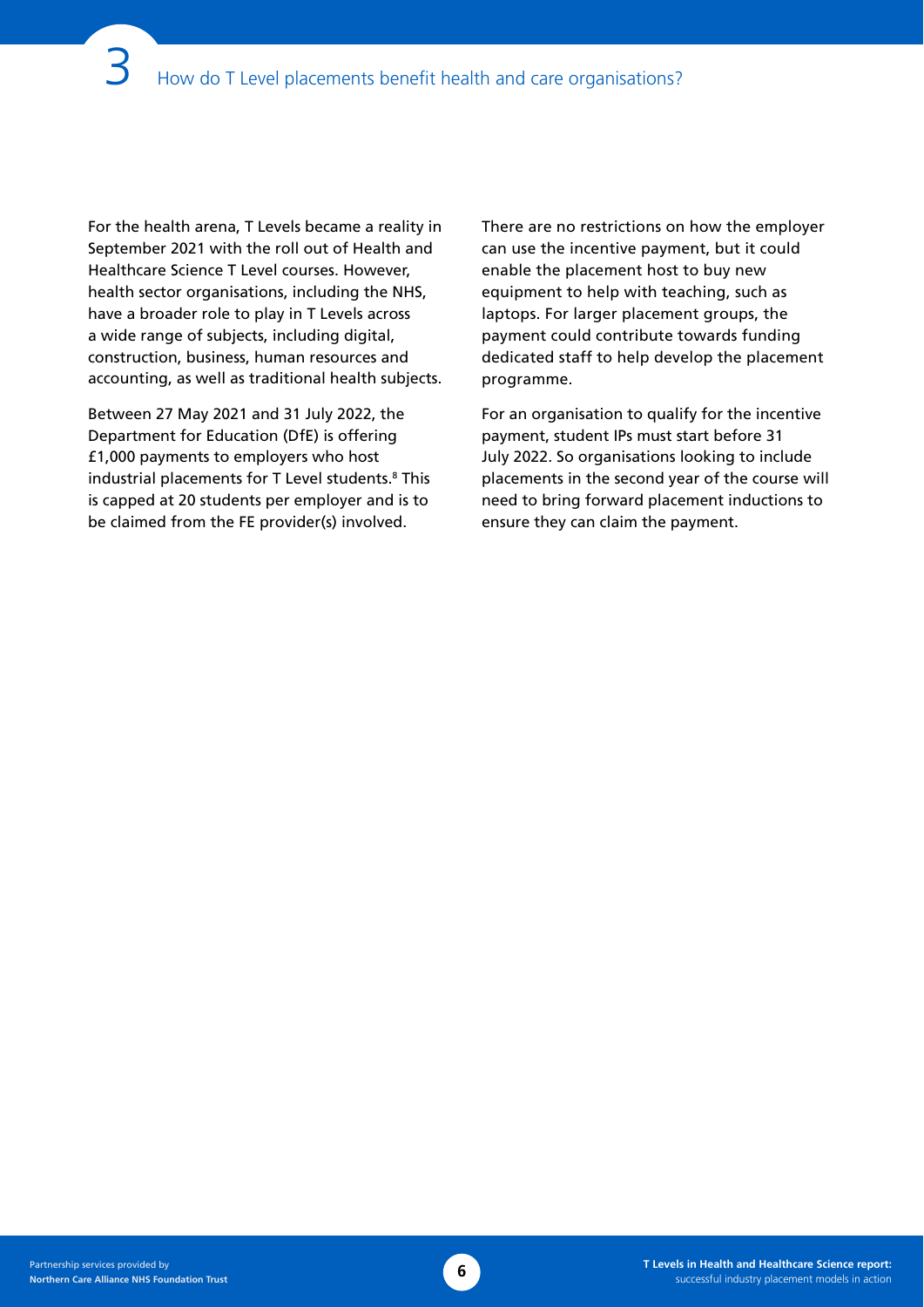For the health arena, T Levels became a reality in September 2021 with the roll out of Health and Healthcare Science T Level courses. However, health sector organisations, including the NHS, have a broader role to play in T Levels across a wide range of subjects, including digital, construction, business, human resources and accounting, as well as traditional health subjects.

Between 27 May 2021 and 31 July 2022, the Department for Education (DfE) is offering £1,000 payments to employers who host industrial placements for T Level students.<sup>8</sup> This is capped at 20 students per employer and is to be claimed from the FE provider(s) involved.

There are no restrictions on how the employer can use the incentive payment, but it could enable the placement host to buy new equipment to help with teaching, such as laptops. For larger placement groups, the payment could contribute towards funding dedicated staff to help develop the placement programme.

For an organisation to qualify for the incentive payment, student IPs must start before 31 July 2022. So organisations looking to include placements in the second year of the course will need to bring forward placement inductions to ensure they can claim the payment.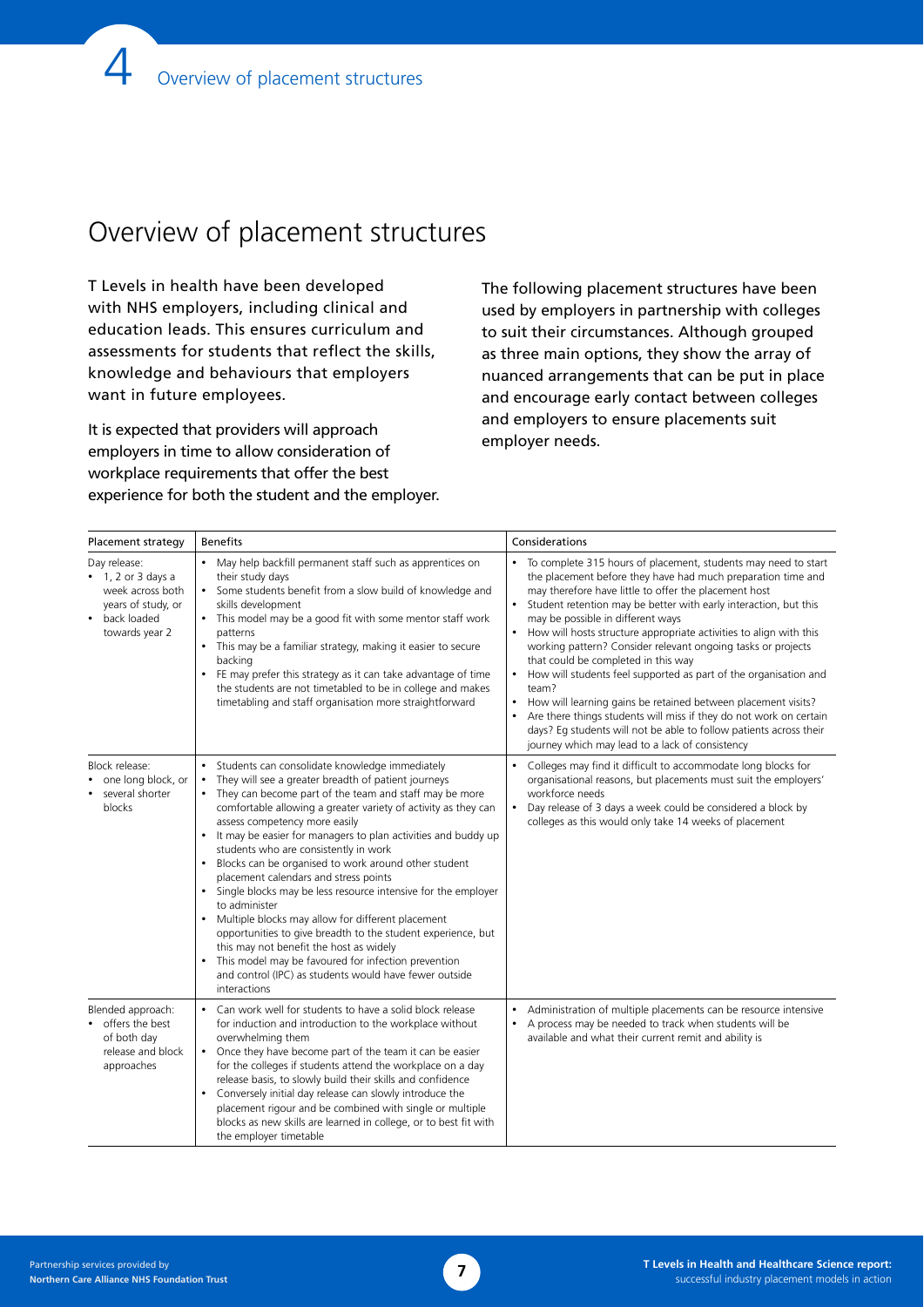# Overview of placement structures

T Levels in health have been developed with NHS employers, including clinical and education leads. This ensures curriculum and assessments for students that reflect the skills, knowledge and behaviours that employers want in future employees.

It is expected that providers will approach employers in time to allow consideration of workplace requirements that offer the best experience for both the student and the employer. The following placement structures have been used by employers in partnership with colleges to suit their circumstances. Although grouped as three main options, they show the array of nuanced arrangements that can be put in place and encourage early contact between colleges and employers to ensure placements suit employer needs.

| Placement strategy                                                                                                    | <b>Benefits</b>                                                                                                                                                                                                                                                                                                                                                                                                                                                                                                                                                                                                                                                                                                                                                                                                                                                                | Considerations                                                                                                                                                                                                                                                                                                                                                                                                                                                                                                                                                                                                                                                                                                                                                                                                                                                    |
|-----------------------------------------------------------------------------------------------------------------------|--------------------------------------------------------------------------------------------------------------------------------------------------------------------------------------------------------------------------------------------------------------------------------------------------------------------------------------------------------------------------------------------------------------------------------------------------------------------------------------------------------------------------------------------------------------------------------------------------------------------------------------------------------------------------------------------------------------------------------------------------------------------------------------------------------------------------------------------------------------------------------|-------------------------------------------------------------------------------------------------------------------------------------------------------------------------------------------------------------------------------------------------------------------------------------------------------------------------------------------------------------------------------------------------------------------------------------------------------------------------------------------------------------------------------------------------------------------------------------------------------------------------------------------------------------------------------------------------------------------------------------------------------------------------------------------------------------------------------------------------------------------|
| Day release:<br>$\bullet$ 1, 2 or 3 days a<br>week across both<br>years of study, or<br>back loaded<br>towards year 2 | • May help backfill permanent staff such as apprentices on<br>their study days<br>• Some students benefit from a slow build of knowledge and<br>skills development<br>• This model may be a good fit with some mentor staff work<br>patterns<br>• This may be a familiar strategy, making it easier to secure<br>backing<br>• FE may prefer this strategy as it can take advantage of time<br>the students are not timetabled to be in college and makes<br>timetabling and staff organisation more straightforward                                                                                                                                                                                                                                                                                                                                                            | To complete 315 hours of placement, students may need to start<br>the placement before they have had much preparation time and<br>may therefore have little to offer the placement host<br>Student retention may be better with early interaction, but this<br>may be possible in different ways<br>How will hosts structure appropriate activities to align with this<br>$\bullet$<br>working pattern? Consider relevant ongoing tasks or projects<br>that could be completed in this way<br>How will students feel supported as part of the organisation and<br>$\bullet$<br>team?<br>How will learning gains be retained between placement visits?<br>$\bullet$<br>Are there things students will miss if they do not work on certain<br>days? Eq students will not be able to follow patients across their<br>journey which may lead to a lack of consistency |
| Block release:<br>one long block, or<br>several shorter<br>blocks                                                     | • Students can consolidate knowledge immediately<br>They will see a greater breadth of patient journeys<br>• They can become part of the team and staff may be more<br>comfortable allowing a greater variety of activity as they can<br>assess competency more easily<br>• It may be easier for managers to plan activities and buddy up<br>students who are consistently in work<br>• Blocks can be organised to work around other student<br>placement calendars and stress points<br>• Single blocks may be less resource intensive for the employer<br>to administer<br>• Multiple blocks may allow for different placement<br>opportunities to give breadth to the student experience, but<br>this may not benefit the host as widely<br>• This model may be favoured for infection prevention<br>and control (IPC) as students would have fewer outside<br>interactions | Colleges may find it difficult to accommodate long blocks for<br>$\bullet$<br>organisational reasons, but placements must suit the employers'<br>workforce needs<br>Day release of 3 days a week could be considered a block by<br>$\bullet$<br>colleges as this would only take 14 weeks of placement                                                                                                                                                                                                                                                                                                                                                                                                                                                                                                                                                            |
| Blended approach:<br>offers the best<br>of both day<br>release and block<br>approaches                                | • Can work well for students to have a solid block release<br>for induction and introduction to the workplace without<br>overwhelming them<br>• Once they have become part of the team it can be easier<br>for the colleges if students attend the workplace on a day<br>release basis, to slowly build their skills and confidence<br>Conversely initial day release can slowly introduce the<br>placement rigour and be combined with single or multiple<br>blocks as new skills are learned in college, or to best fit with<br>the employer timetable                                                                                                                                                                                                                                                                                                                       | Administration of multiple placements can be resource intensive<br>A process may be needed to track when students will be<br>$\bullet$<br>available and what their current remit and ability is                                                                                                                                                                                                                                                                                                                                                                                                                                                                                                                                                                                                                                                                   |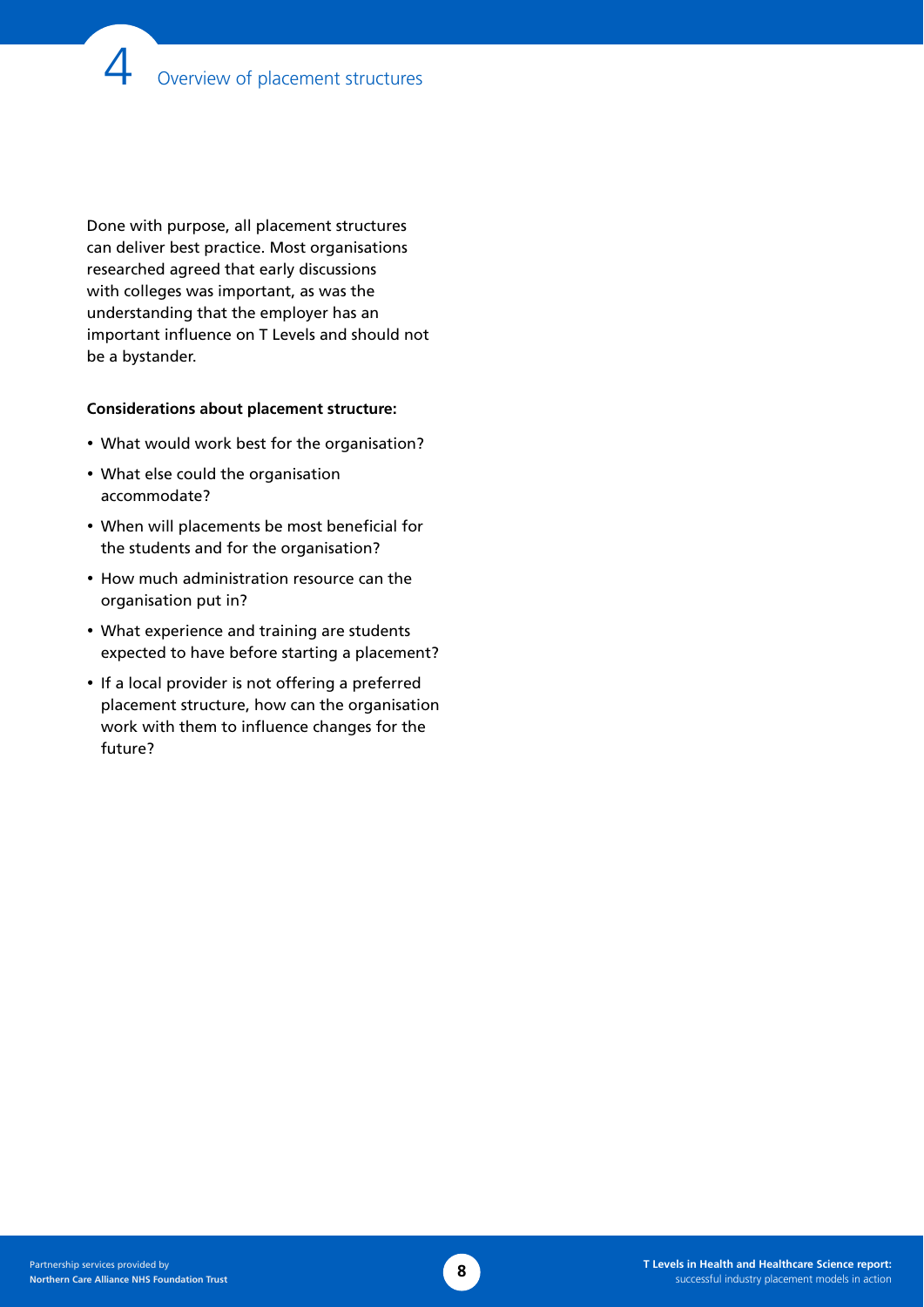Done with purpose, all placement structures can deliver best practice. Most organisations researched agreed that early discussions with colleges was important, as was the understanding that the employer has an important influence on T Levels and should not be a bystander.

### **Considerations about placement structure:**

- What would work best for the organisation?
- What else could the organisation accommodate?
- When will placements be most beneficial for the students and for the organisation?
- How much administration resource can the organisation put in?
- What experience and training are students expected to have before starting a placement?
- If a local provider is not offering a preferred placement structure, how can the organisation work with them to influence changes for the future?

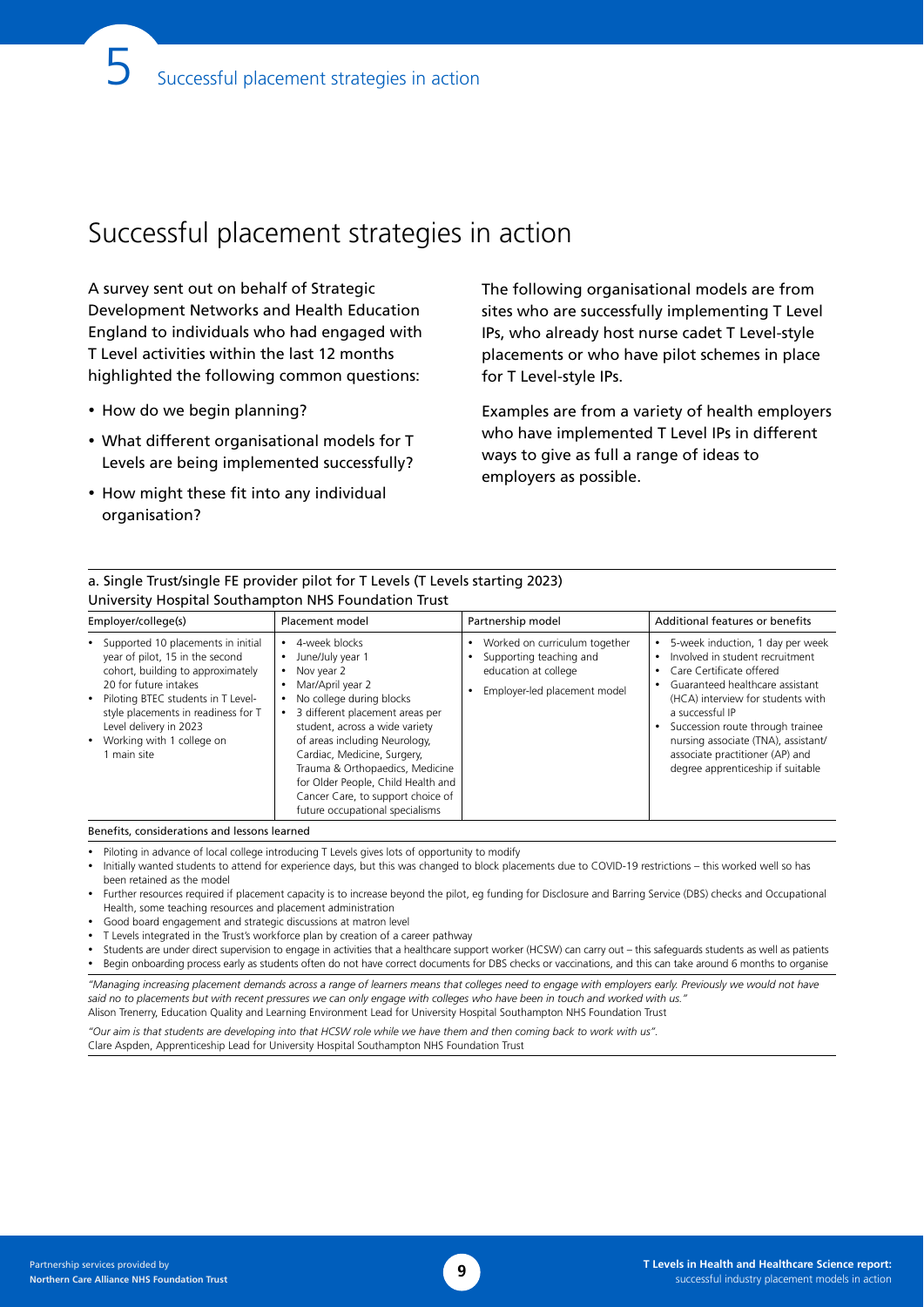# <span id="page-11-0"></span>Successful placement strategies in action

a. Single Trust/single FE provider pilot for T Levels (T Levels starting 2023)

A survey sent out on behalf of Strategic Development Networks and Health Education England to individuals who had engaged with T Level activities within the last 12 months highlighted the following common questions:

- How do we begin planning?
- What different organisational models for T Levels are being implemented successfully?
- How might these fit into any individual organisation?

The following organisational models are from sites who are successfully implementing T Level IPs, who already host nurse cadet T Level-style placements or who have pilot schemes in place for T Level-style IPs.

Examples are from a variety of health employers who have implemented T Level IPs in different ways to give as full a range of ideas to employers as possible.

| University Hospital Southampton NHS Foundation Trust                                                                                                                                                                                                                                       |                                                                                                                                                                                                                                                                                                                                                                                       |                                                                                                                  |                                                                                                                                                                                                                                                                                                                                               |  |
|--------------------------------------------------------------------------------------------------------------------------------------------------------------------------------------------------------------------------------------------------------------------------------------------|---------------------------------------------------------------------------------------------------------------------------------------------------------------------------------------------------------------------------------------------------------------------------------------------------------------------------------------------------------------------------------------|------------------------------------------------------------------------------------------------------------------|-----------------------------------------------------------------------------------------------------------------------------------------------------------------------------------------------------------------------------------------------------------------------------------------------------------------------------------------------|--|
| Employer/college(s)                                                                                                                                                                                                                                                                        | Placement model                                                                                                                                                                                                                                                                                                                                                                       | Partnership model                                                                                                | Additional features or benefits                                                                                                                                                                                                                                                                                                               |  |
| • Supported 10 placements in initial<br>year of pilot, 15 in the second<br>cohort, building to approximately<br>20 for future intakes<br>• Piloting BTEC students in T Level-<br>style placements in readiness for T<br>Level delivery in 2023<br>• Working with 1 college on<br>main site | 4-week blocks<br>June/July year 1<br>Nov year 2<br>Mar/April year 2<br>No college during blocks<br>3 different placement areas per<br>student, across a wide variety<br>of areas including Neurology,<br>Cardiac, Medicine, Surgery,<br>Trauma & Orthopaedics, Medicine<br>for Older People, Child Health and<br>Cancer Care, to support choice of<br>future occupational specialisms | Worked on curriculum together<br>Supporting teaching and<br>education at college<br>Employer-led placement model | 5-week induction, 1 day per week<br>Involved in student recruitment<br>Care Certificate offered<br>Guaranteed healthcare assistant<br>(HCA) interview for students with<br>a successful IP<br>Succession route through trainee<br>nursing associate (TNA), assistant/<br>associate practitioner (AP) and<br>degree apprenticeship if suitable |  |

Benefits, considerations and lessons learned

• Piloting in advance of local college introducing T Levels gives lots of opportunity to modify

- • Initially wanted students to attend for experience days, but this was changed to block placements due to COVID-19 restrictions this worked well so has been retained as the model
- • Further resources required if placement capacity is to increase beyond the pilot, eg funding for Disclosure and Barring Service (DBS) checks and Occupational Health, some teaching resources and placement administration
- Good board engagement and strategic discussions at matron level
- T Levels integrated in the Trust's workforce plan by creation of a career pathway
- Students are under direct supervision to engage in activities that a healthcare support worker (HCSW) can carry out this safeguards students as well as patients Begin onboarding process early as students often do not have correct documents for DBS checks or vaccinations, and this can take around 6 months to organise

*"Managing increasing placement demands across a range of learners means that colleges need to engage with employers early. Previously we would not have*  said no to placements but with recent pressures we can only engage with colleges who have been in touch and worked with us.

Alison Trenerry, Education Quality and Learning Environment Lead for University Hospital Southampton NHS Foundation Trust

*"Our aim is that students are developing into that HCSW role while we have them and then coming back to work with us".* 

Clare Aspden, Apprenticeship Lead for University Hospital Southampton NHS Foundation Trust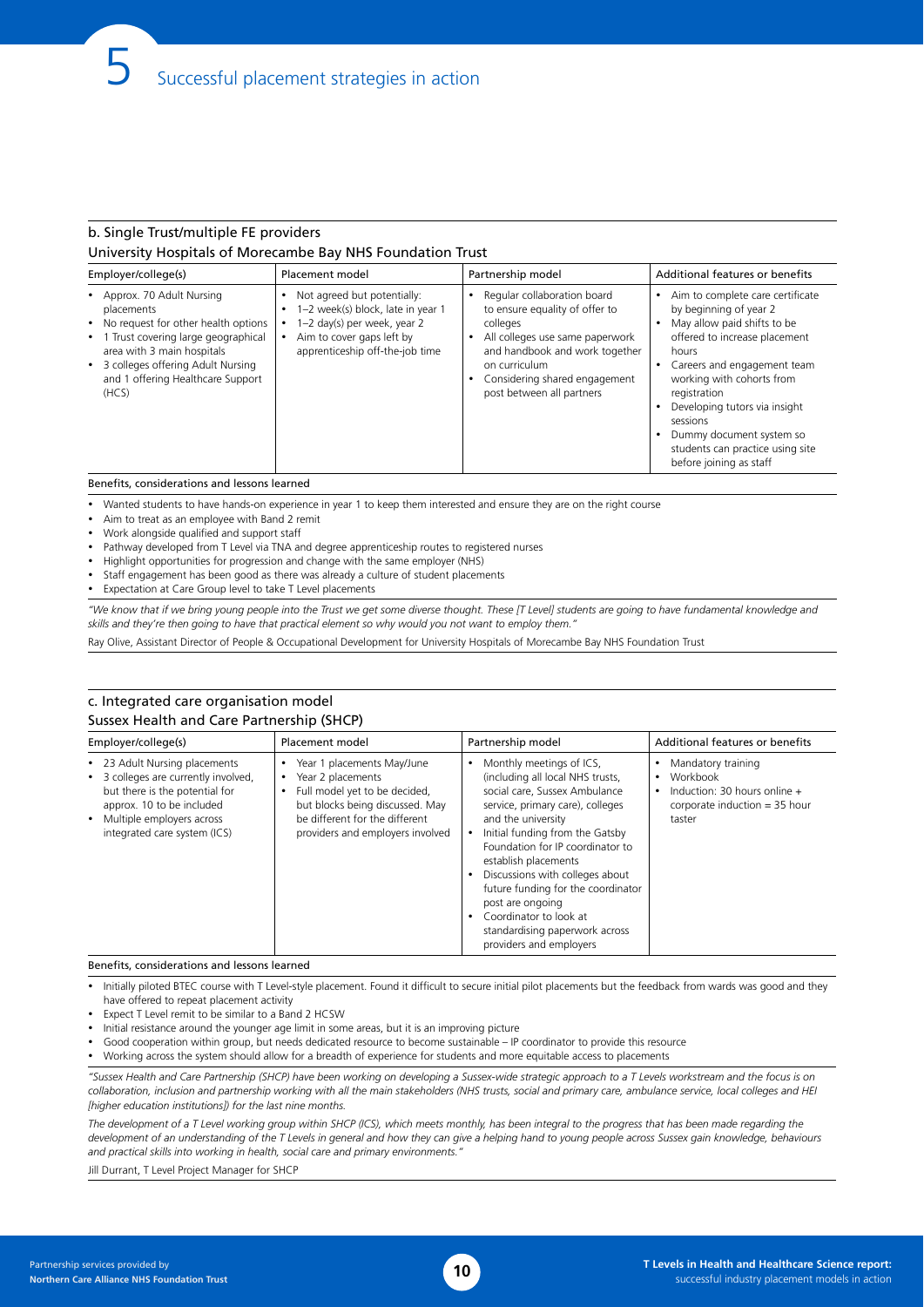### b. Single Trust/multiple FE providers University Hospitals of Morecambe Bay NHS Foundation Trust

| Employer/college(s)                                                                                                                                                                                                                                       | Placement model                                                                                                                                                 | Partnership model                                                                                                                                                                                                             | Additional features or benefits                                                                                                                                                                                                                                                                                                                         |
|-----------------------------------------------------------------------------------------------------------------------------------------------------------------------------------------------------------------------------------------------------------|-----------------------------------------------------------------------------------------------------------------------------------------------------------------|-------------------------------------------------------------------------------------------------------------------------------------------------------------------------------------------------------------------------------|---------------------------------------------------------------------------------------------------------------------------------------------------------------------------------------------------------------------------------------------------------------------------------------------------------------------------------------------------------|
| • Approx. 70 Adult Nursing<br>placements<br>No request for other health options<br>$\bullet$<br>Trust covering large geographical<br>٠<br>area with 3 main hospitals<br>• 3 colleges offering Adult Nursing<br>and 1 offering Healthcare Support<br>(HCS) | Not agreed but potentially:<br>1-2 week(s) block, late in year 1<br>1-2 day(s) per week, year 2<br>Aim to cover gaps left by<br>apprenticeship off-the-job time | Regular collaboration board<br>to ensure equality of offer to<br>colleges<br>All colleges use same paperwork<br>and handbook and work together<br>on curriculum<br>Considering shared engagement<br>post between all partners | Aim to complete care certificate<br>by beginning of year 2<br>May allow paid shifts to be<br>offered to increase placement<br>hours<br>Careers and engagement team<br>working with cohorts from<br>registration<br>Developing tutors via insight<br>sessions<br>Dummy document system so<br>students can practice using site<br>before joining as staff |

Wanted students to have hands-on experience in year 1 to keep them interested and ensure they are on the right course

- Aim to treat as an employee with Band 2 remit
- Work alongside qualified and support staff
- Pathway developed from T Level via TNA and degree apprenticeship routes to registered nurses
- Highlight opportunities for progression and change with the same employer (NHS)
- Staff engagement has been good as there was already a culture of student placements
- **Expectation at Care Group level to take T Level placements**

*"We know that if we bring young people into the Trust we get some diverse thought. These [T Level] students are going to have fundamental knowledge and*  skills and they're then going to have that practical element so why would you not want to employ them.

Ray Olive, Assistant Director of People & Occupational Development for University Hospitals of Morecambe Bay NHS Foundation Trust

#### c. Integrated care organisation model Sussex Health and Care Partnership (SHCP)

| Employer/college(s)                                                                                                                                                                                 | Placement model                                                                                                                                                                                | Partnership model                                                                                                                                                                                                                                                                                                                                                                                                                               | Additional features or benefits                                                                                  |
|-----------------------------------------------------------------------------------------------------------------------------------------------------------------------------------------------------|------------------------------------------------------------------------------------------------------------------------------------------------------------------------------------------------|-------------------------------------------------------------------------------------------------------------------------------------------------------------------------------------------------------------------------------------------------------------------------------------------------------------------------------------------------------------------------------------------------------------------------------------------------|------------------------------------------------------------------------------------------------------------------|
| • 23 Adult Nursing placements<br>• 3 colleges are currently involved,<br>but there is the potential for<br>approx. 10 to be included<br>• Multiple employers across<br>integrated care system (ICS) | Year 1 placements May/June<br>Year 2 placements<br>٠<br>Full model yet to be decided,<br>but blocks being discussed. May<br>be different for the different<br>providers and employers involved | Monthly meetings of ICS,<br>(including all local NHS trusts,<br>social care, Sussex Ambulance<br>service, primary care), colleges<br>and the university<br>Initial funding from the Gatsby<br>Foundation for IP coordinator to<br>establish placements<br>Discussions with colleges about<br>future funding for the coordinator<br>post are ongoing<br>Coordinator to look at<br>٠<br>standardising paperwork across<br>providers and employers | Mandatory training<br>Workbook<br>٠<br>Induction: 30 hours online +<br>corporate induction $=$ 35 hour<br>taster |

#### Benefits, considerations and lessons learned

- Initially piloted BTEC course with T Level-style placement. Found it difficult to secure initial pilot placements but the feedback from wards was good and they have offered to repeat placement activity
- • Expect T Level remit to be similar to a Band 2 HCSW
- Initial resistance around the younger age limit in some areas, but it is an improving picture
- Good cooperation within group, but needs dedicated resource to become sustainable IP coordinator to provide this resource
- Working across the system should allow for a breadth of experience for students and more equitable access to placements

*"Sussex Health and Care Partnership (SHCP) have been working on developing a Sussex-wide strategic approach to a T Levels workstream and the focus is on collaboration, inclusion and partnership working with all the main stakeholders (NHS trusts, social and primary care, ambulance service, local colleges and HEI [higher education institutions]) for the last nine months.* 

The development of a T Level working group within SHCP (ICS), which meets monthly, has been integral to the progress that has been made regarding the *development of an understanding of the T Levels in general and how they can give a helping hand to young people across Sussex gain knowledge, behaviours and practical skills into working in health, social care and primary environments."*

Jill Durrant, T Level Project Manager for SHCP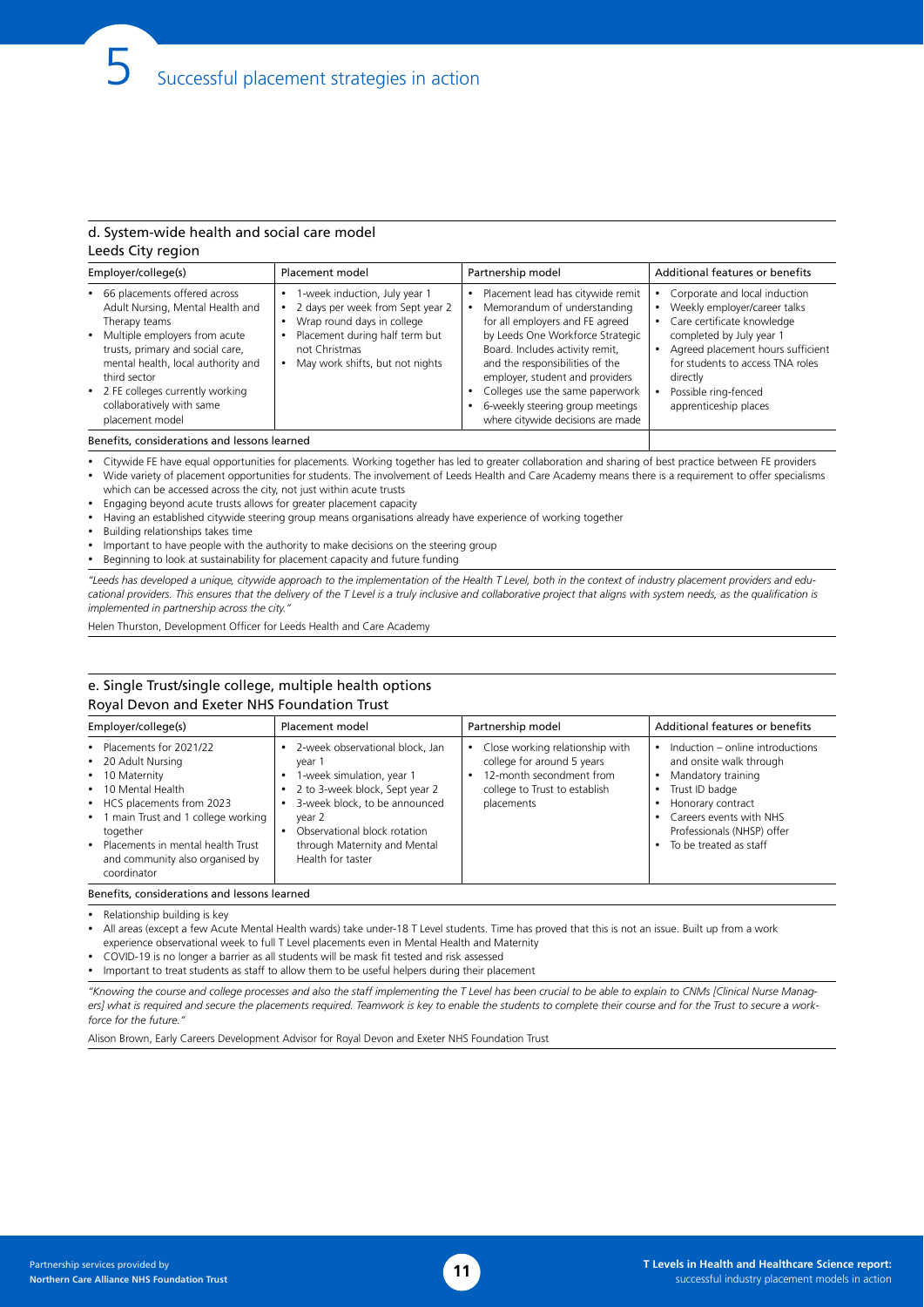### d. System-wide health and social care model Leeds City region

| Employer/college(s)                                                                                                                                                                                                                                                                                   | Placement model                                                                                                                                                                       | Partnership model                                                                                                                                                                                                                                                                                                                                            | Additional features or benefits                                                                                                                                                                                                                                            |
|-------------------------------------------------------------------------------------------------------------------------------------------------------------------------------------------------------------------------------------------------------------------------------------------------------|---------------------------------------------------------------------------------------------------------------------------------------------------------------------------------------|--------------------------------------------------------------------------------------------------------------------------------------------------------------------------------------------------------------------------------------------------------------------------------------------------------------------------------------------------------------|----------------------------------------------------------------------------------------------------------------------------------------------------------------------------------------------------------------------------------------------------------------------------|
| • 66 placements offered across<br>Adult Nursing, Mental Health and<br>Therapy teams<br>• Multiple employers from acute<br>trusts, primary and social care,<br>mental health, local authority and<br>third sector<br>• 2 FE colleges currently working<br>collaboratively with same<br>placement model | 1-week induction, July year 1<br>2 days per week from Sept year 2<br>Wrap round days in college<br>Placement during half term but<br>not Christmas<br>May work shifts, but not nights | Placement lead has citywide remit<br>Memorandum of understanding<br>for all employers and FE agreed<br>by Leeds One Workforce Strategic<br>Board. Includes activity remit,<br>and the responsibilities of the<br>employer, student and providers<br>Colleges use the same paperwork<br>6-weekly steering group meetings<br>where citywide decisions are made | Corporate and local induction<br>Weekly employer/career talks<br>Care certificate knowledge<br>$\bullet$<br>completed by July year 1<br>Agreed placement hours sufficient<br>for students to access TNA roles<br>directly<br>Possible ring-fenced<br>apprenticeship places |
|                                                                                                                                                                                                                                                                                                       |                                                                                                                                                                                       |                                                                                                                                                                                                                                                                                                                                                              |                                                                                                                                                                                                                                                                            |

Benefits, considerations and lessons learned

Citywide FE have equal opportunities for placements. Working together has led to greater collaboration and sharing of best practice between FE providers Wide variety of placement opportunities for students. The involvement of Leeds Health and Care Academy means there is a requirement to offer specialisms

which can be accessed across the city, not just within acute trusts

Engaging beyond acute trusts allows for greater placement capacity

Having an established citywide steering group means organisations already have experience of working together

Building relationships takes time

Important to have people with the authority to make decisions on the steering group

Beginning to look at sustainability for placement capacity and future funding

*"Leeds has developed a unique, citywide approach to the implementation of the Health T Level, both in the context of industry placement providers and edu*cational providers. This ensures that the delivery of the T Level is a truly inclusive and collaborative project that aligns with system needs, as the qualification is *implemented in partnership across the city."*

Helen Thurston, Development Officer for Leeds Health and Care Academy

#### e. Single Trust/single college, multiple health options Royal Devon and Exeter NHS Foundation Trust

| Employer/college(s)                                                                                                                                                                                                                                               | Placement model                                                                                                                                                                                                                          | Partnership model                                                                                                                        | Additional features or benefits                                                                                                                                                                             |
|-------------------------------------------------------------------------------------------------------------------------------------------------------------------------------------------------------------------------------------------------------------------|------------------------------------------------------------------------------------------------------------------------------------------------------------------------------------------------------------------------------------------|------------------------------------------------------------------------------------------------------------------------------------------|-------------------------------------------------------------------------------------------------------------------------------------------------------------------------------------------------------------|
| • Placements for 2021/22<br>• 20 Adult Nursing<br>• 10 Maternity<br>• 10 Mental Health<br>• HCS placements from 2023<br>• 1 main Trust and 1 college working<br>together<br>• Placements in mental health Trust<br>and community also organised by<br>coordinator | 2-week observational block, Jan<br>vear 1<br>1-week simulation, year 1<br>2 to 3-week block, Sept year 2<br>3-week block, to be announced<br>year 2<br>Observational block rotation<br>through Maternity and Mental<br>Health for taster | Close working relationship with<br>college for around 5 years<br>12-month secondment from<br>college to Trust to establish<br>placements | Induction - online introductions<br>and onsite walk through<br>Mandatory training<br>Trust ID badge<br>Honorary contract<br>Careers events with NHS<br>Professionals (NHSP) offer<br>To be treated as staff |

Relationship building is key

All areas (except a few Acute Mental Health wards) take under-18 T Level students. Time has proved that this is not an issue. Built up from a work experience observational week to full T Level placements even in Mental Health and Maternity

COVID-19 is no longer a barrier as all students will be mask fit tested and risk assessed

• Important to treat students as staff to allow them to be useful helpers during their placement

*"Knowing the course and college processes and also the staff implementing the T Level has been crucial to be able to explain to CNMs [Clinical Nurse Manag*ers] what is required and secure the placements required. Teamwork is key to enable the students to complete their course and for the Trust to secure a work*force for the future.* 

Alison Brown, Early Careers Development Advisor for Royal Devon and Exeter NHS Foundation Trust

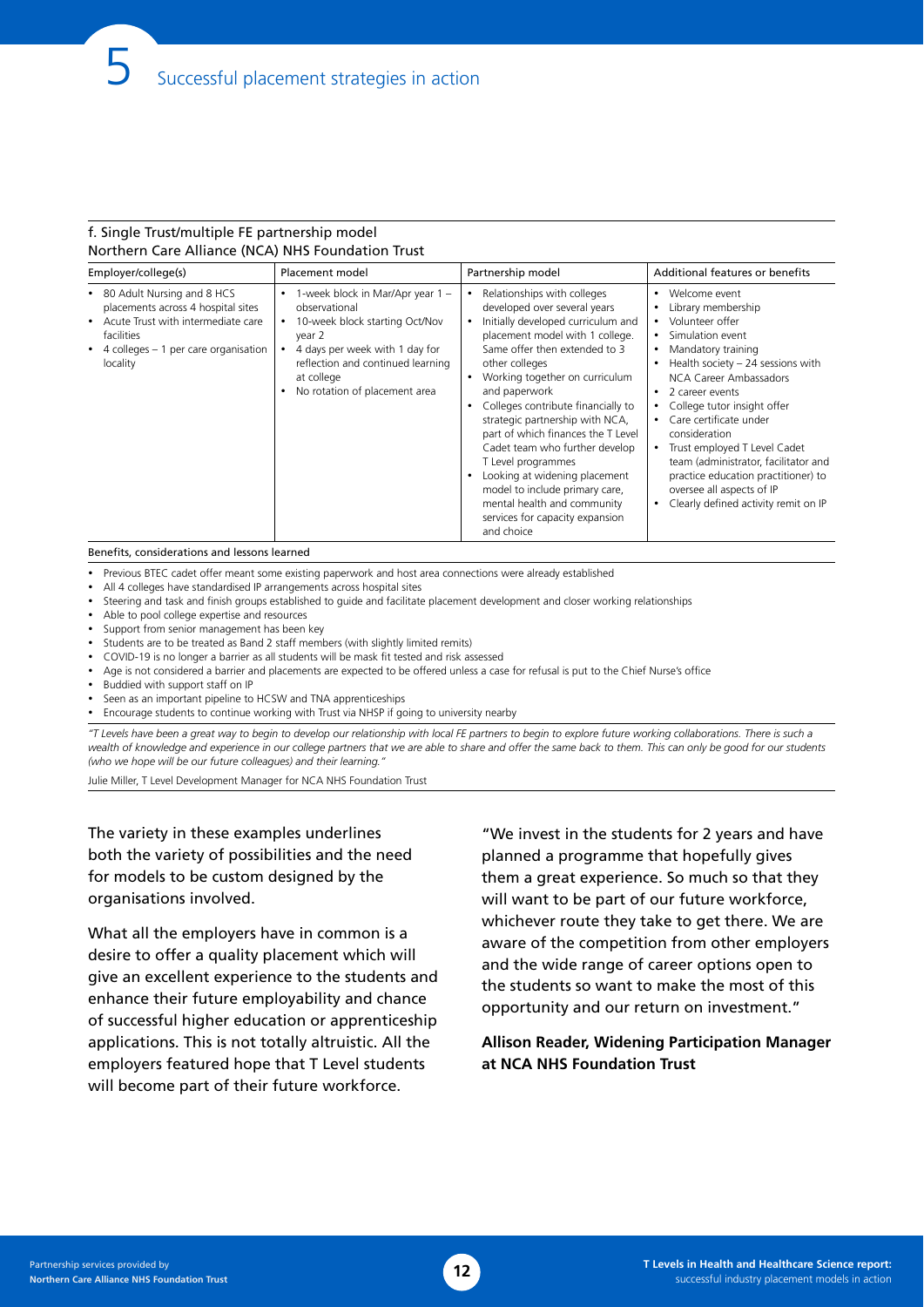### f. Single Trust/multiple FE partnership model Northern Care Alliance (NCA) NHS Foundation Trust

| Employer/college(s)                                                                                                                                                                       | Placement model                                                                                                                                                                                                     | Partnership model                                                                                                                                                                                                                                                                                                                                                                                                                                                                                                                                                                              | Additional features or benefits                                                                                                                                                                                                                                                                                                                                                                                                                                             |
|-------------------------------------------------------------------------------------------------------------------------------------------------------------------------------------------|---------------------------------------------------------------------------------------------------------------------------------------------------------------------------------------------------------------------|------------------------------------------------------------------------------------------------------------------------------------------------------------------------------------------------------------------------------------------------------------------------------------------------------------------------------------------------------------------------------------------------------------------------------------------------------------------------------------------------------------------------------------------------------------------------------------------------|-----------------------------------------------------------------------------------------------------------------------------------------------------------------------------------------------------------------------------------------------------------------------------------------------------------------------------------------------------------------------------------------------------------------------------------------------------------------------------|
| • 80 Adult Nursing and 8 HCS<br>placements across 4 hospital sites<br>Acute Trust with intermediate care<br>$\bullet$<br>facilities<br>• 4 colleges – 1 per care organisation<br>locality | 1-week block in Mar/Apr year 1 -<br>observational<br>10-week block starting Oct/Nov<br>year 2<br>4 days per week with 1 day for<br>reflection and continued learning<br>at college<br>No rotation of placement area | Relationships with colleges<br>$\bullet$<br>developed over several years<br>Initially developed curriculum and<br>placement model with 1 college.<br>Same offer then extended to 3<br>other colleges<br>Working together on curriculum<br>$\bullet$<br>and paperwork<br>Colleges contribute financially to<br>strategic partnership with NCA,<br>part of which finances the T Level<br>Cadet team who further develop<br>T Level programmes<br>Looking at widening placement<br>model to include primary care,<br>mental health and community<br>services for capacity expansion<br>and choice | Welcome event<br>$\bullet$<br>Library membership<br>Volunteer offer<br>Simulation event<br>Mandatory training<br>Health society $-24$ sessions with<br>NCA Career Ambassadors<br>2 career events<br>$\bullet$<br>College tutor insight offer<br>Care certificate under<br>consideration<br>Trust employed T Level Cadet<br>team (administrator, facilitator and<br>practice education practitioner) to<br>oversee all aspects of IP<br>Clearly defined activity remit on IP |

#### Benefits, considerations and lessons learned

• Previous BTEC cadet offer meant some existing paperwork and host area connections were already established

- All 4 colleges have standardised IP arrangements across hospital sites
- Steering and task and finish groups established to guide and facilitate placement development and closer working relationships
- Able to pool college expertise and resources
- Support from senior management has been key
- • Students are to be treated as Band 2 staff members (with slightly limited remits)
- COVID-19 is no longer a barrier as all students will be mask fit tested and risk assessed
- • Age is not considered a barrier and placements are expected to be offered unless a case for refusal is put to the Chief Nurse's office
- • Buddied with support staff on IP
- Seen as an important pipeline to HCSW and TNA apprenticeships
- • Encourage students to continue working with Trust via NHSP if going to university nearby

*"T Levels have been a great way to begin to develop our relationship with local FE partners to begin to explore future working collaborations. There is such a wealth of knowledge and experience in our college partners that we are able to share and offer the same back to them. This can only be good for our students (who we hope will be our future colleagues) and their learning."* 

Julie Miller, T Level Development Manager for NCA NHS Foundation Trust

The variety in these examples underlines both the variety of possibilities and the need for models to be custom designed by the organisations involved.

What all the employers have in common is a desire to offer a quality placement which will give an excellent experience to the students and enhance their future employability and chance of successful higher education or apprenticeship applications. This is not totally altruistic. All the employers featured hope that T Level students will become part of their future workforce.

"We invest in the students for 2 years and have planned a programme that hopefully gives them a great experience. So much so that they will want to be part of our future workforce, whichever route they take to get there. We are aware of the competition from other employers and the wide range of career options open to the students so want to make the most of this opportunity and our return on investment."

### **Allison Reader, Widening Participation Manager at NCA NHS Foundation Trust**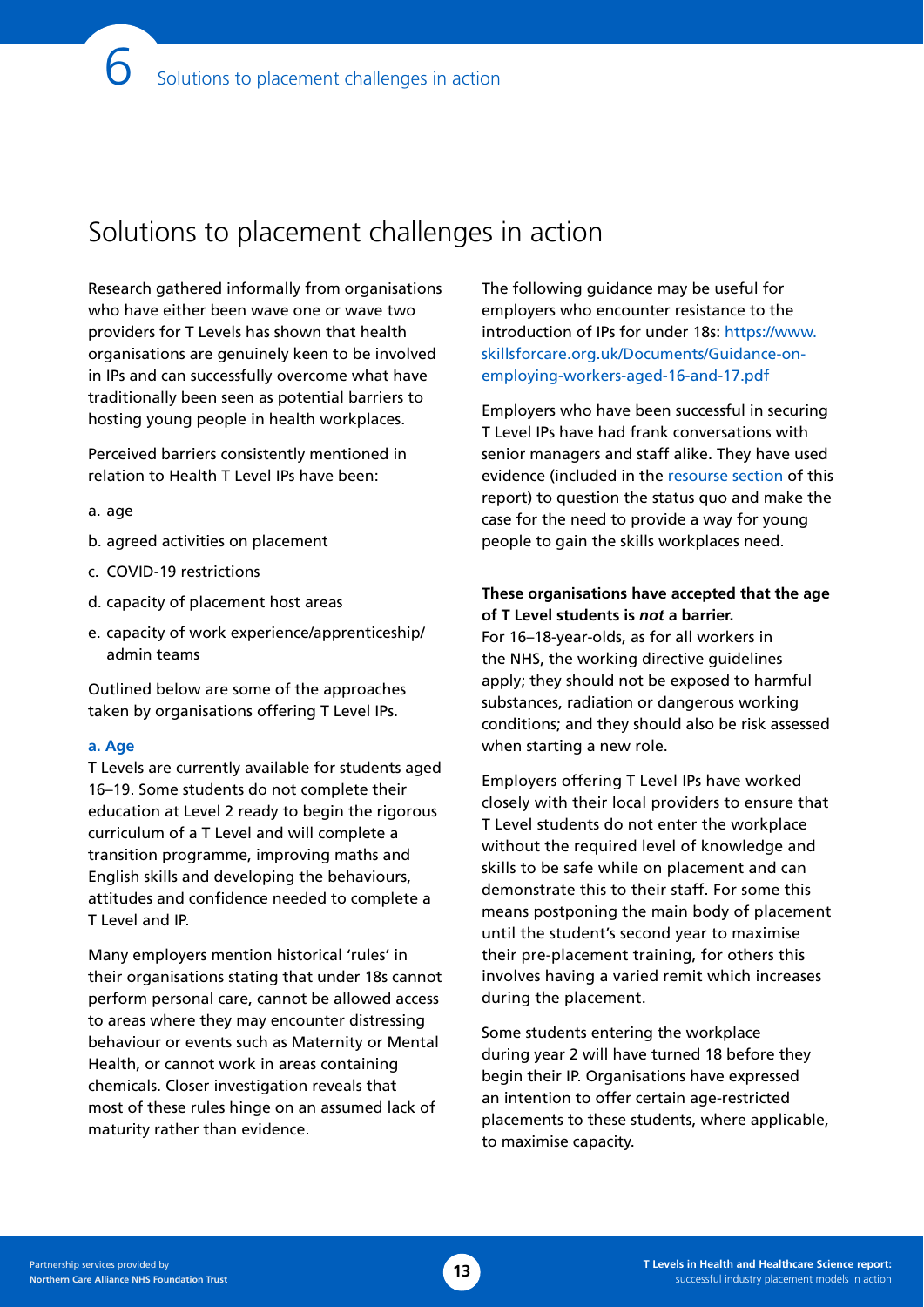# Solutions to placement challenges in action

Research gathered informally from organisations who have either been wave one or wave two providers for T Levels has shown that health organisations are genuinely keen to be involved in IPs and can successfully overcome what have traditionally been seen as potential barriers to hosting young people in health workplaces.

Perceived barriers consistently mentioned in relation to Health T Level IPs have been:

#### a. age

- b. agreed activities on placement
- c. COVID-19 restrictions
- d. capacity of placement host areas
- e. capacity of work experience/apprenticeship/ admin teams

Outlined below are some of the approaches taken by organisations offering T Level IPs.

#### **a. Age**

T Levels are currently available for students aged 16–19. Some students do not complete their education at Level 2 ready to begin the rigorous curriculum of a T Level and will complete a transition programme, improving maths and English skills and developing the behaviours, attitudes and confidence needed to complete a T Level and IP.

Many employers mention historical 'rules' in their organisations stating that under 18s cannot perform personal care, cannot be allowed access to areas where they may encounter distressing behaviour or events such as Maternity or Mental Health, or cannot work in areas containing chemicals. Closer investigation reveals that most of these rules hinge on an assumed lack of maturity rather than evidence.

The following guidance may be useful for employers who encounter resistance to the introduction of IPs for under 18s: [https://www.](http://www.skillsforcare.org.uk/Documents/Guidance-on-employing-workers-aged-16-and-17.pdf) [skillsforcare.org.uk/Documents/Guidance-on](http://www.skillsforcare.org.uk/Documents/Guidance-on-employing-workers-aged-16-and-17.pdf)[employing-workers-aged-16-and-17.pdf](http://www.skillsforcare.org.uk/Documents/Guidance-on-employing-workers-aged-16-and-17.pdf)

Employers who have been successful in securing T Level IPs have had frank conversations with senior managers and staff alike. They have used evidence (included in the [resourse section](#page-21-0) of this report) to question the status quo and make the case for the need to provide a way for young people to gain the skills workplaces need.

### **These organisations have accepted that the age of T Level students is** *not* **a barrier.**

For 16–18-year-olds, as for all workers in the NHS, the working directive guidelines apply; they should not be exposed to harmful substances, radiation or dangerous working conditions; and they should also be risk assessed when starting a new role.

Employers offering T Level IPs have worked closely with their local providers to ensure that T Level students do not enter the workplace without the required level of knowledge and skills to be safe while on placement and can demonstrate this to their staff. For some this means postponing the main body of placement until the student's second year to maximise their pre-placement training, for others this involves having a varied remit which increases during the placement.

Some students entering the workplace during year 2 will have turned 18 before they begin their IP. Organisations have expressed an intention to offer certain age-restricted placements to these students, where applicable, to maximise capacity.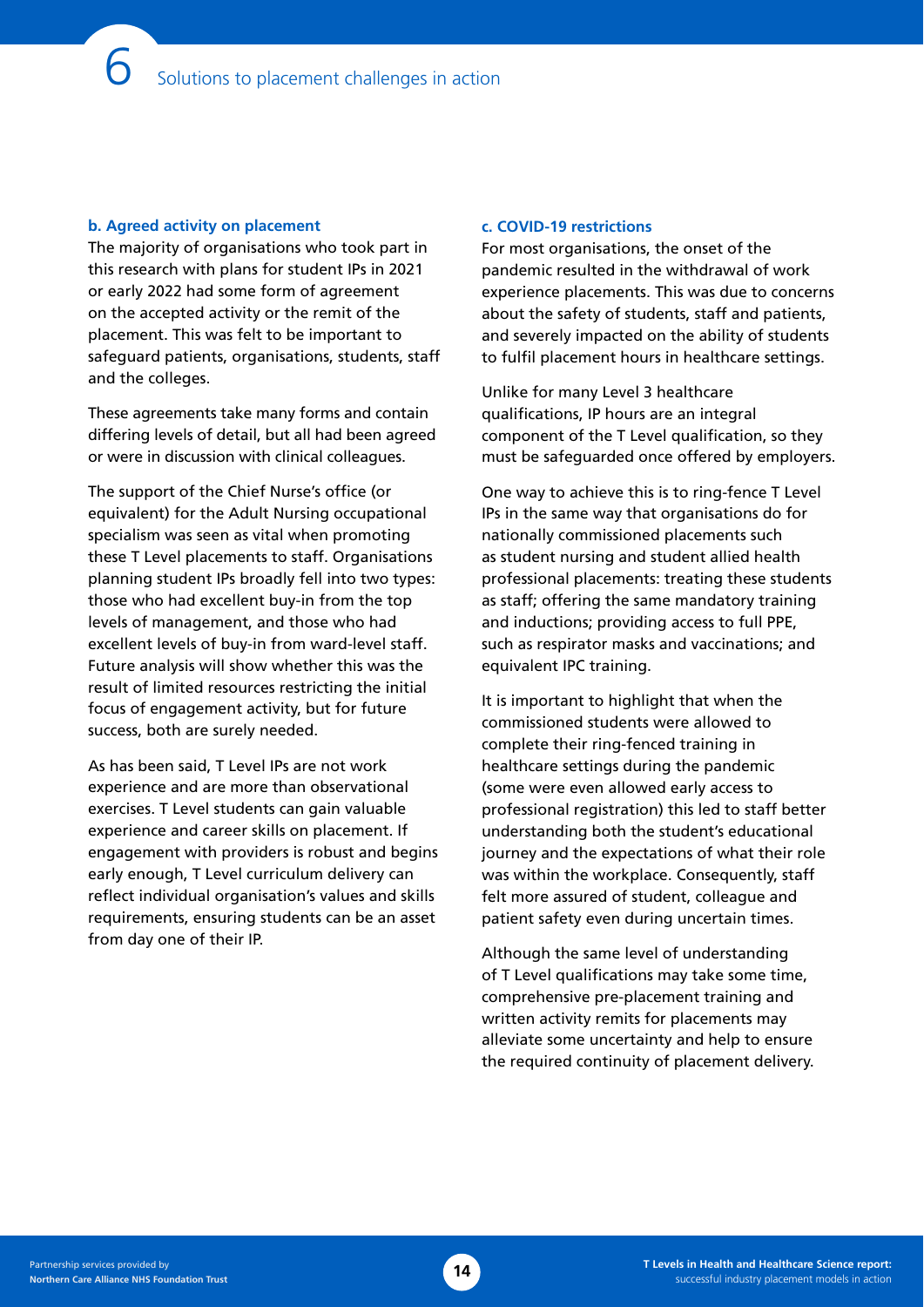### **b. Agreed activity on placement**

The majority of organisations who took part in this research with plans for student IPs in 2021 or early 2022 had some form of agreement on the accepted activity or the remit of the placement. This was felt to be important to safeguard patients, organisations, students, staff and the colleges.

These agreements take many forms and contain differing levels of detail, but all had been agreed or were in discussion with clinical colleagues.

The support of the Chief Nurse's office (or equivalent) for the Adult Nursing occupational specialism was seen as vital when promoting these T Level placements to staff. Organisations planning student IPs broadly fell into two types: those who had excellent buy-in from the top levels of management, and those who had excellent levels of buy-in from ward-level staff. Future analysis will show whether this was the result of limited resources restricting the initial focus of engagement activity, but for future success, both are surely needed.

As has been said, T Level IPs are not work experience and are more than observational exercises. T Level students can gain valuable experience and career skills on placement. If engagement with providers is robust and begins early enough, T Level curriculum delivery can reflect individual organisation's values and skills requirements, ensuring students can be an asset from day one of their IP.

#### **c. COVID-19 restrictions**

For most organisations, the onset of the pandemic resulted in the withdrawal of work experience placements. This was due to concerns about the safety of students, staff and patients, and severely impacted on the ability of students to fulfil placement hours in healthcare settings.

Unlike for many Level 3 healthcare qualifications, IP hours are an integral component of the T Level qualification, so they must be safeguarded once offered by employers.

One way to achieve this is to ring-fence T Level IPs in the same way that organisations do for nationally commissioned placements such as student nursing and student allied health professional placements: treating these students as staff; offering the same mandatory training and inductions; providing access to full PPE, such as respirator masks and vaccinations; and equivalent IPC training.

It is important to highlight that when the commissioned students were allowed to complete their ring-fenced training in healthcare settings during the pandemic (some were even allowed early access to professional registration) this led to staff better understanding both the student's educational journey and the expectations of what their role was within the workplace. Consequently, staff felt more assured of student, colleague and patient safety even during uncertain times.

Although the same level of understanding of T Level qualifications may take some time, comprehensive pre-placement training and written activity remits for placements may alleviate some uncertainty and help to ensure the required continuity of placement delivery.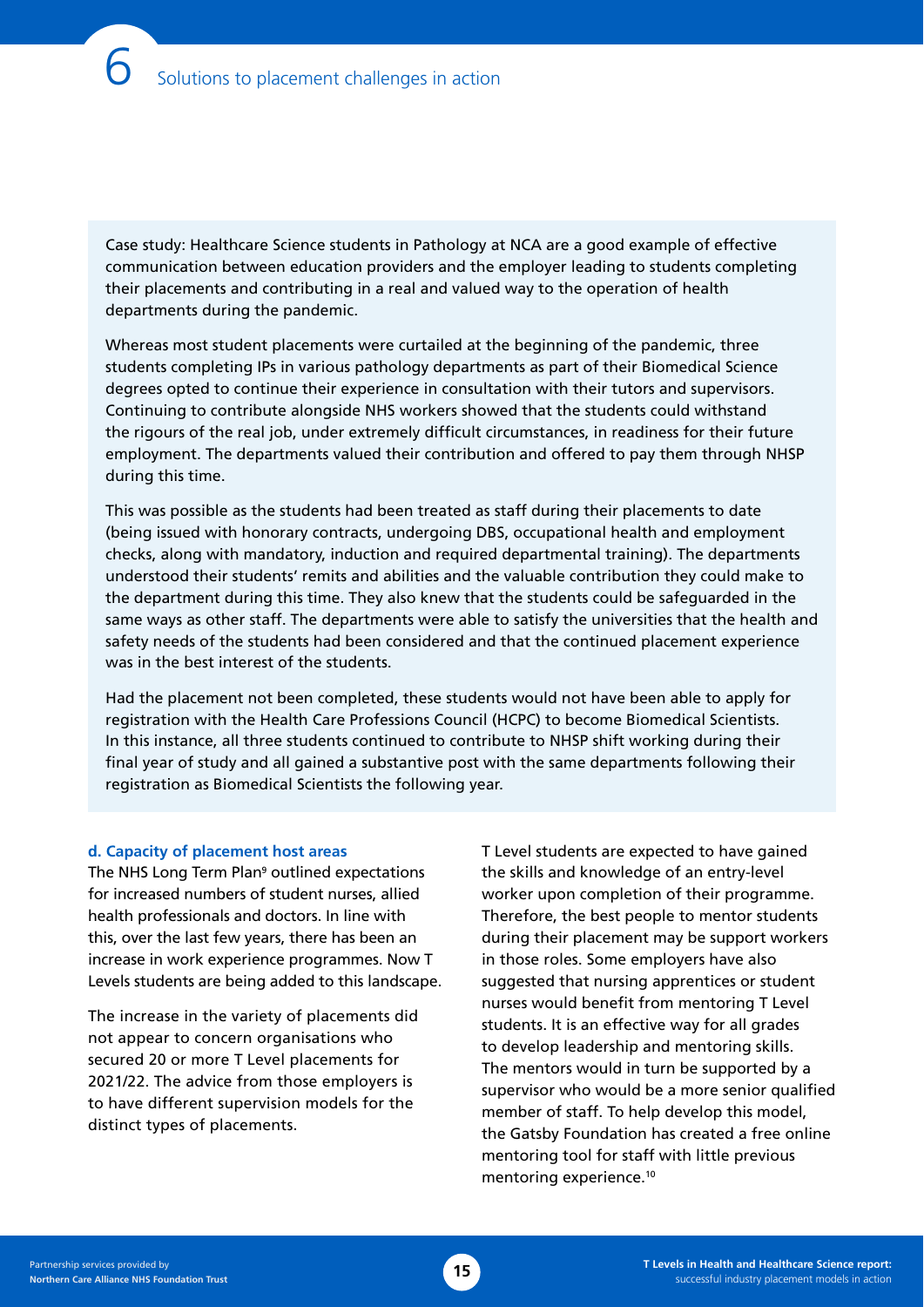Case study: Healthcare Science students in Pathology at NCA are a good example of effective communication between education providers and the employer leading to students completing their placements and contributing in a real and valued way to the operation of health departments during the pandemic.

Whereas most student placements were curtailed at the beginning of the pandemic, three students completing IPs in various pathology departments as part of their Biomedical Science degrees opted to continue their experience in consultation with their tutors and supervisors. Continuing to contribute alongside NHS workers showed that the students could withstand the rigours of the real job, under extremely difficult circumstances, in readiness for their future employment. The departments valued their contribution and offered to pay them through NHSP during this time.

This was possible as the students had been treated as staff during their placements to date (being issued with honorary contracts, undergoing DBS, occupational health and employment checks, along with mandatory, induction and required departmental training). The departments understood their students' remits and abilities and the valuable contribution they could make to the department during this time. They also knew that the students could be safeguarded in the same ways as other staff. The departments were able to satisfy the universities that the health and safety needs of the students had been considered and that the continued placement experience was in the best interest of the students.

Had the placement not been completed, these students would not have been able to apply for registration with the Health Care Professions Council (HCPC) to become Biomedical Scientists. In this instance, all three students continued to contribute to NHSP shift working during their final year of study and all gained a substantive post with the same departments following their registration as Biomedical Scientists the following year.

#### **d. Capacity of placement host areas**

The NHS Long Term Plan<sup>9</sup> outlined expectations for increased numbers of student nurses, allied health professionals and doctors. In line with this, over the last few years, there has been an increase in work experience programmes. Now T Levels students are being added to this landscape.

The increase in the variety of placements did not appear to concern organisations who secured 20 or more T Level placements for 2021/22. The advice from those employers is to have different supervision models for the distinct types of placements.

T Level students are expected to have gained the skills and knowledge of an entry-level worker upon completion of their programme. Therefore, the best people to mentor students during their placement may be support workers in those roles. Some employers have also suggested that nursing apprentices or student nurses would benefit from mentoring T Level students. It is an effective way for all grades to develop leadership and mentoring skills. The mentors would in turn be supported by a supervisor who would be a more senior qualified member of staff. To help develop this model, the Gatsby Foundation has created a free online mentoring tool for staff with little previous mentoring experience.10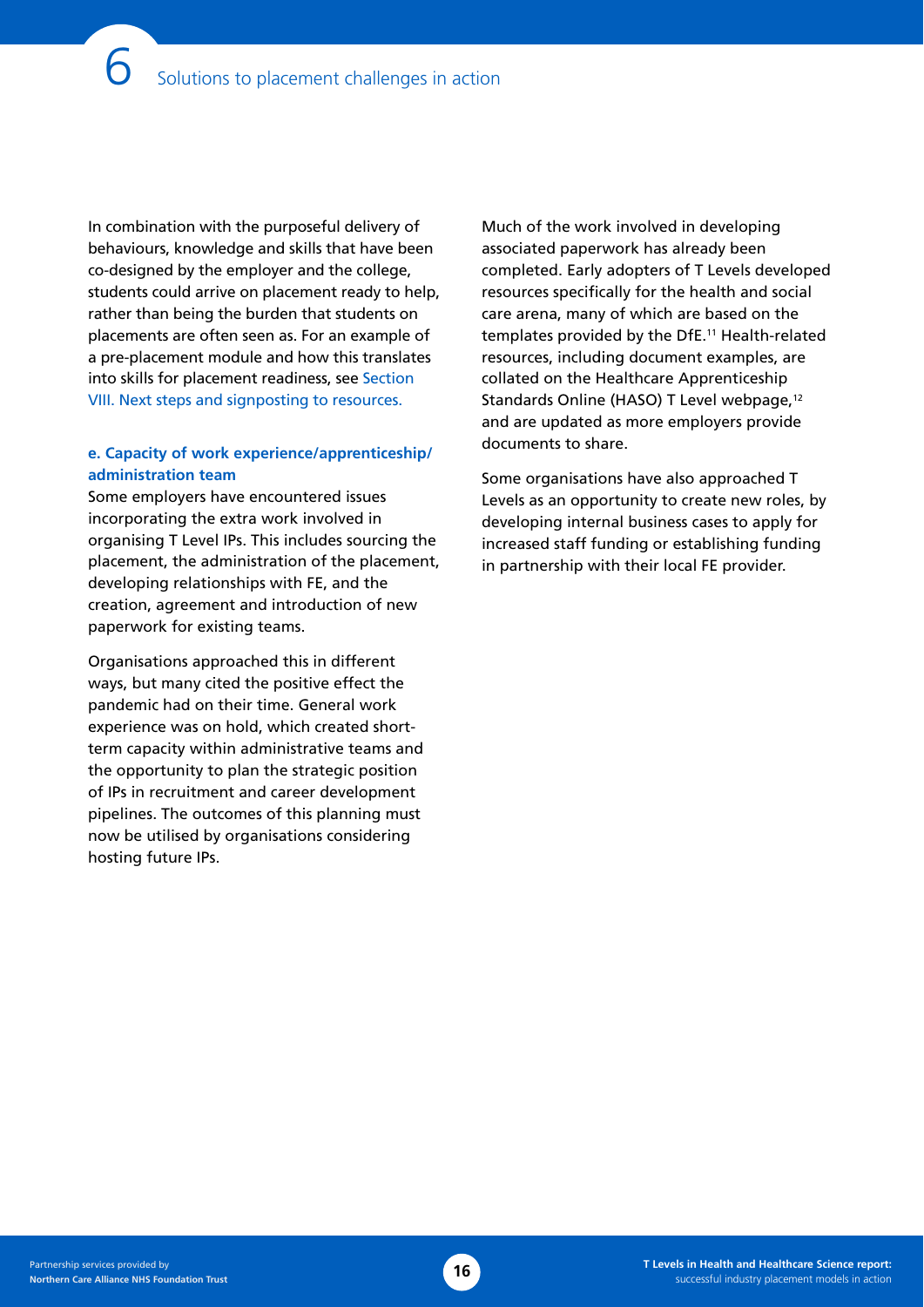In combination with the purposeful delivery of behaviours, knowledge and skills that have been co-designed by the employer and the college, students could arrive on placement ready to help, rather than being the burden that students on placements are often seen as. For an example of a pre-placement module and how this translates into skills for placement readiness, see [Section](#page-21-0)  [VIII. Next steps and signposting to resources.](#page-21-0)

### **e. Capacity of work experience/apprenticeship/ administration team**

Some employers have encountered issues incorporating the extra work involved in organising T Level IPs. This includes sourcing the placement, the administration of the placement, developing relationships with FE, and the creation, agreement and introduction of new paperwork for existing teams.

Organisations approached this in different ways, but many cited the positive effect the pandemic had on their time. General work experience was on hold, which created shortterm capacity within administrative teams and the opportunity to plan the strategic position of IPs in recruitment and career development pipelines. The outcomes of this planning must now be utilised by organisations considering hosting future IPs.

Much of the work involved in developing associated paperwork has already been completed. Early adopters of T Levels developed resources specifically for the health and social care arena, many of which are based on the templates provided by the DfE.11 Health-related resources, including document examples, are collated on the Healthcare Apprenticeship Standards Online (HASO) T Level webpage,<sup>12</sup> and are updated as more employers provide documents to share.

Some organisations have also approached T Levels as an opportunity to create new roles, by developing internal business cases to apply for increased staff funding or establishing funding in partnership with their local FE provider.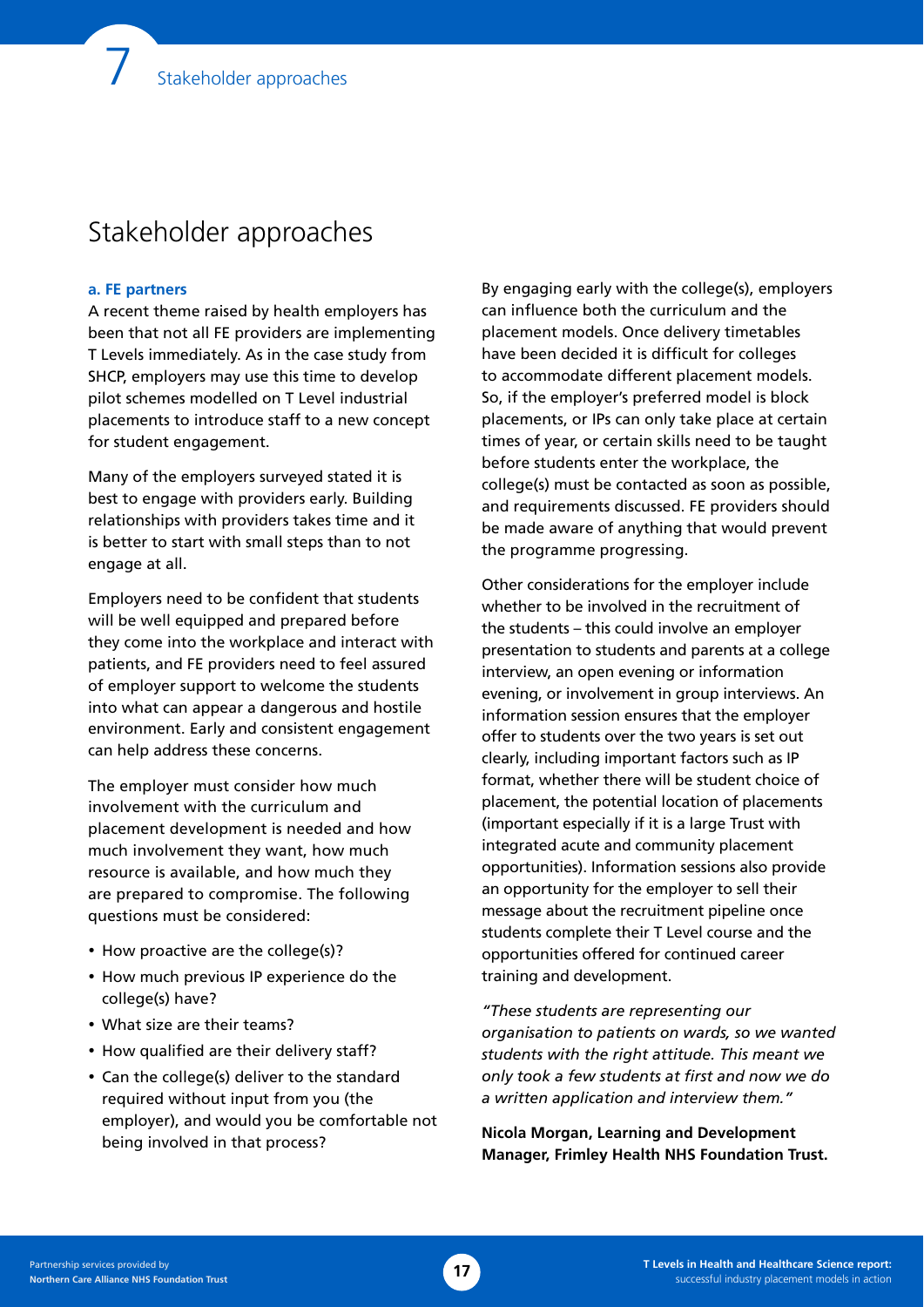### Stakeholder approaches

### **a. FE partners**

A recent theme raised by health employers has been that not all FE providers are implementing T Levels immediately. As in the case study from SHCP, employers may use this time to develop pilot schemes modelled on T Level industrial placements to introduce staff to a new concept for student engagement.

Many of the employers surveyed stated it is best to engage with providers early. Building relationships with providers takes time and it is better to start with small steps than to not engage at all.

Employers need to be confident that students will be well equipped and prepared before they come into the workplace and interact with patients, and FE providers need to feel assured of employer support to welcome the students into what can appear a dangerous and hostile environment. Early and consistent engagement can help address these concerns.

The employer must consider how much involvement with the curriculum and placement development is needed and how much involvement they want, how much resource is available, and how much they are prepared to compromise. The following questions must be considered:

- How proactive are the college(s)?
- How much previous IP experience do the college(s) have?
- What size are their teams?
- How qualified are their delivery staff?
- Can the college(s) deliver to the standard required without input from you (the employer), and would you be comfortable not being involved in that process?

By engaging early with the college(s), employers can influence both the curriculum and the placement models. Once delivery timetables have been decided it is difficult for colleges to accommodate different placement models. So, if the employer's preferred model is block placements, or IPs can only take place at certain times of year, or certain skills need to be taught before students enter the workplace, the college(s) must be contacted as soon as possible, and requirements discussed. FE providers should be made aware of anything that would prevent the programme progressing.

Other considerations for the employer include whether to be involved in the recruitment of the students – this could involve an employer presentation to students and parents at a college interview, an open evening or information evening, or involvement in group interviews. An information session ensures that the employer offer to students over the two years is set out clearly, including important factors such as IP format, whether there will be student choice of placement, the potential location of placements (important especially if it is a large Trust with integrated acute and community placement opportunities). Information sessions also provide an opportunity for the employer to sell their message about the recruitment pipeline once students complete their T Level course and the opportunities offered for continued career training and development.

*"These students are representing our organisation to patients on wards, so we wanted students with the right attitude. This meant we only took a few students at first and now we do a written application and interview them."* 

**Nicola Morgan, Learning and Development Manager, Frimley Health NHS Foundation Trust.**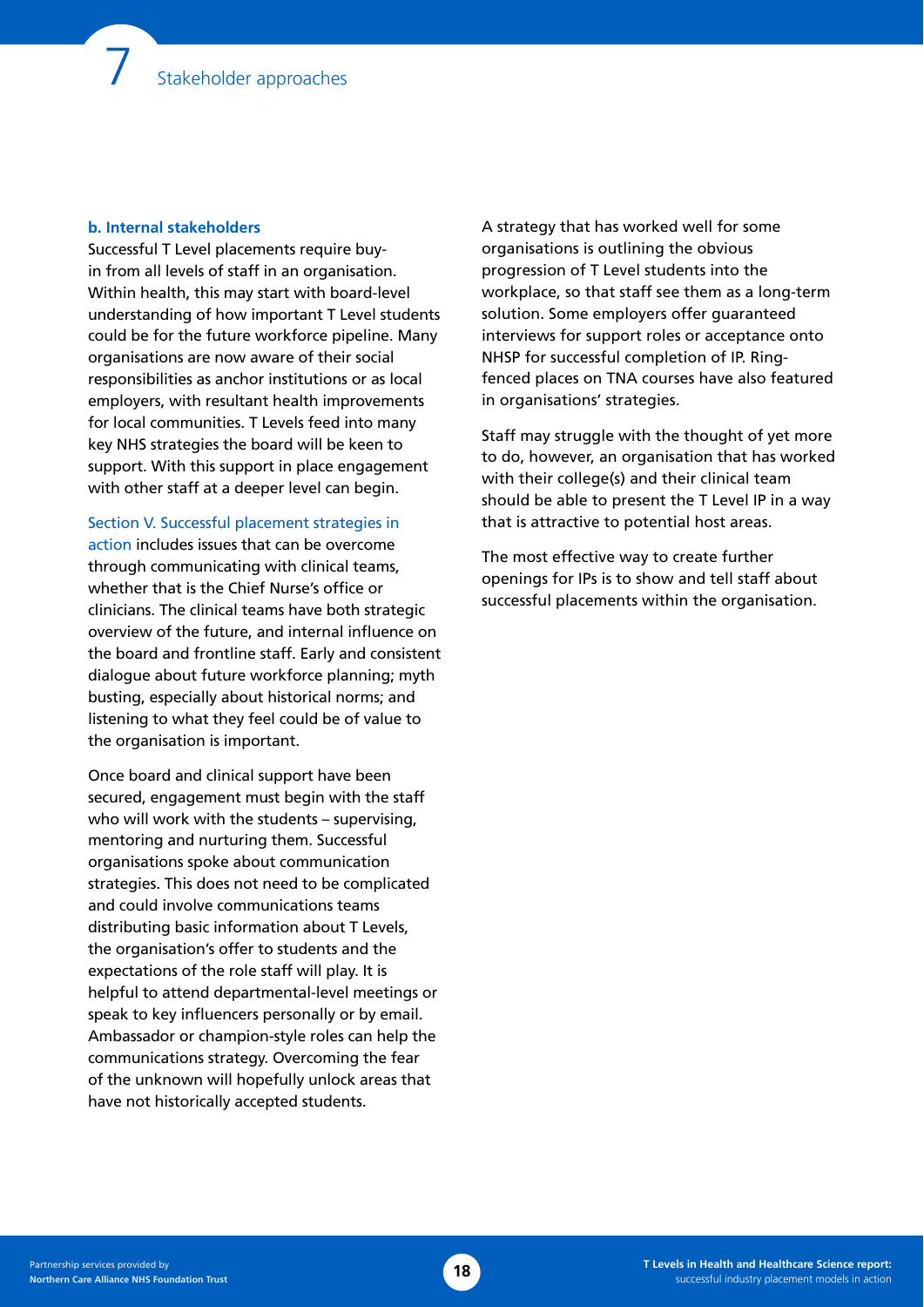### **b. Internal stakeholders**

Successful T Level placements require buyin from all levels of staff in an organisation. Within health, this may start with board-level understanding of how important T Level students could be for the future workforce pipeline. Many organisations are now aware of their social responsibilities as anchor institutions or as local employers, with resultant health improvements for local communities. T Levels feed into many key NHS strategies the board will be keen to support. With this support in place engagement with other staff at a deeper level can begin.

[Section V. Successful placement strategies in](#page-11-0)  [action](#page-11-0) includes issues that can be overcome through communicating with clinical teams, whether that is the Chief Nurse's office or clinicians. The clinical teams have both strategic overview of the future, and internal influence on the board and frontline staff. Early and consistent dialogue about future workforce planning; myth busting, especially about historical norms; and listening to what they feel could be of value to the organisation is important.

Once board and clinical support have been secured, engagement must begin with the staff who will work with the students – supervising, mentoring and nurturing them. Successful organisations spoke about communication strategies. This does not need to be complicated and could involve communications teams distributing basic information about T Levels, the organisation's offer to students and the expectations of the role staff will play. It is helpful to attend departmental-level meetings or speak to key influencers personally or by email. Ambassador or champion-style roles can help the communications strategy. Overcoming the fear of the unknown will hopefully unlock areas that have not historically accepted students.

A strategy that has worked well for some organisations is outlining the obvious progression of T Level students into the workplace, so that staff see them as a long-term solution. Some employers offer guaranteed interviews for support roles or acceptance onto NHSP for successful completion of IP. Ringfenced places on TNA courses have also featured in organisations' strategies.

Staff may struggle with the thought of yet more to do, however, an organisation that has worked with their college(s) and their clinical team should be able to present the T Level IP in a way that is attractive to potential host areas.

The most effective way to create further openings for IPs is to show and tell staff about successful placements within the organisation.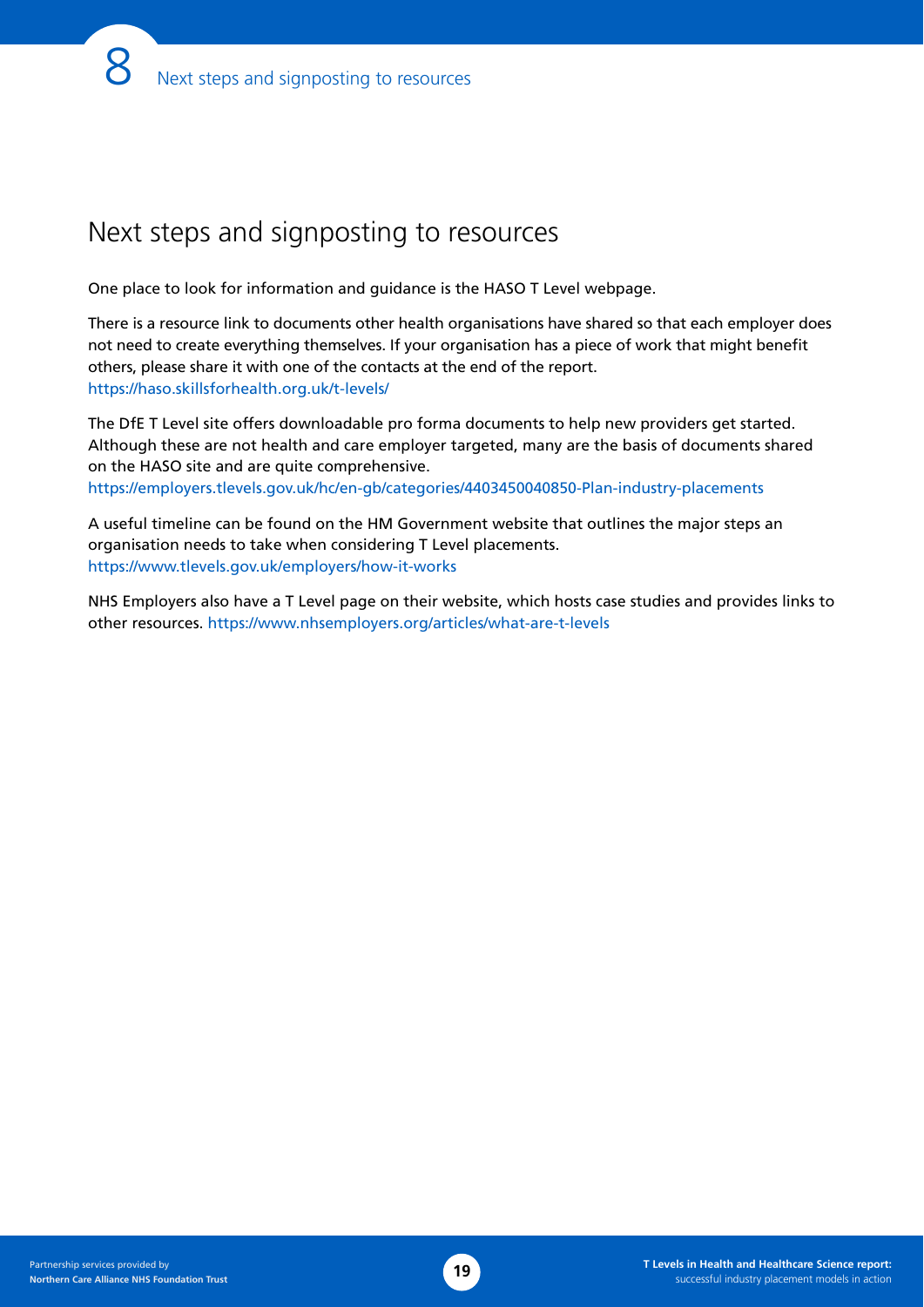# <span id="page-21-0"></span>Next steps and signposting to resources

One place to look for information and guidance is the HASO T Level webpage.

There is a resource link to documents other health organisations have shared so that each employer does not need to create everything themselves. If your organisation has a piece of work that might benefit others, please share it with one of the contacts at the end of the report. <https://haso.skillsforhealth.org.uk/t-levels/>

The DfE T Level site offers downloadable pro forma documents to help new providers get started. Although these are not health and care employer targeted, many are the basis of documents shared on the HASO site and are quite comprehensive. <https://employers.tlevels.gov.uk/hc/en-gb/categories/4403450040850-Plan-industry-placements>

A useful timeline can be found on the HM Government website that outlines the major steps an organisation needs to take when considering T Level placements. [https://www.tlevels.gov.uk/employers/how-it-works](https://employers.tlevels.gov.uk/hc/en-gb/sections/5098910174610)

NHS Employers also have a T Level page on their website, which hosts case studies and provides links to other resources. <https://www.nhsemployers.org/articles/what-are-t-levels>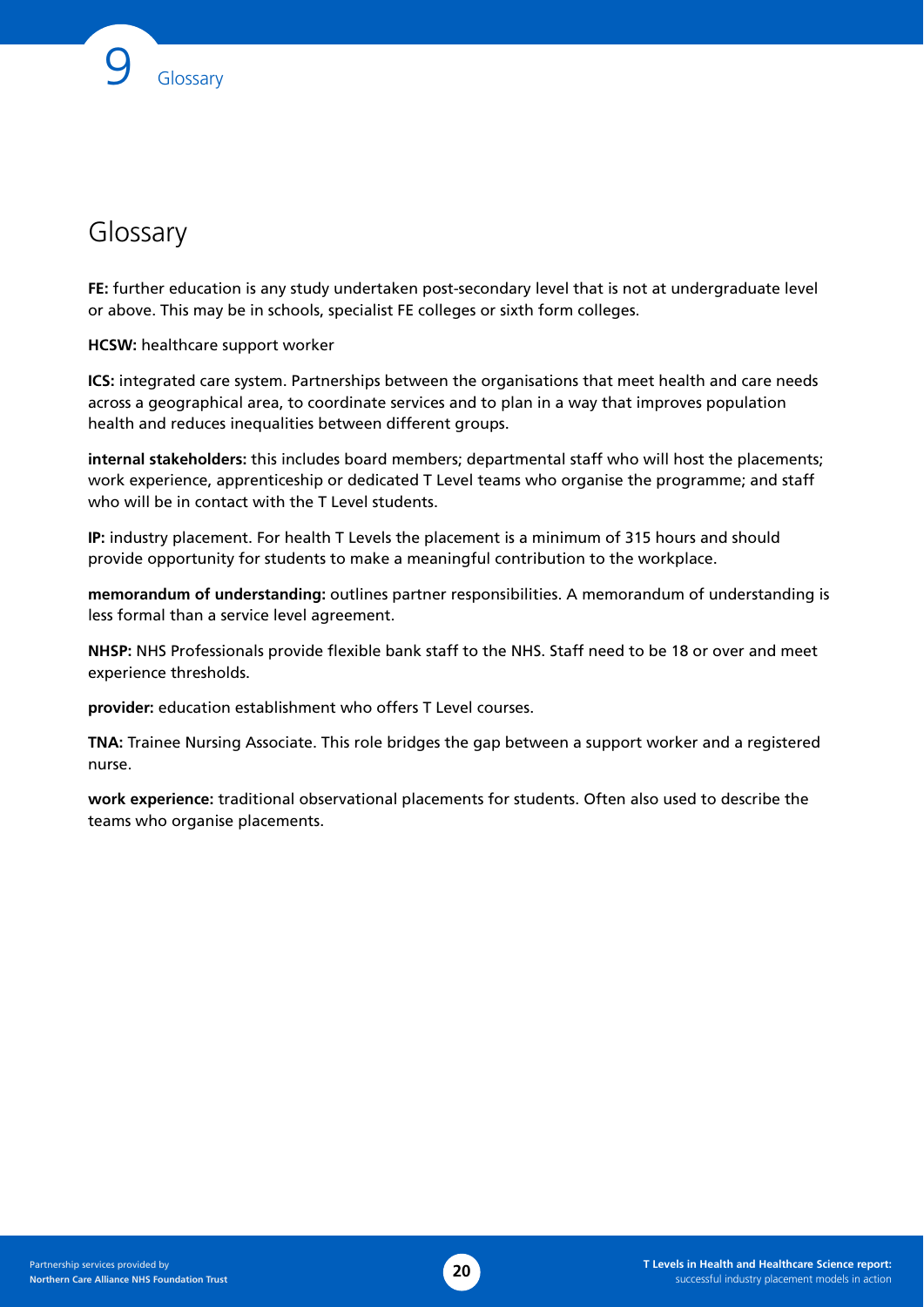# Glossary

**FE:** further education is any study undertaken post-secondary level that is not at undergraduate level or above. This may be in schools, specialist FE colleges or sixth form colleges.

**HCSW:** healthcare support worker

**ICS:** integrated care system. Partnerships between the organisations that meet health and care needs across a geographical area, to coordinate services and to plan in a way that improves population health and reduces inequalities between different groups.

**internal stakeholders:** this includes board members; departmental staff who will host the placements; work experience, apprenticeship or dedicated T Level teams who organise the programme; and staff who will be in contact with the T Level students.

**IP:** industry placement. For health T Levels the placement is a minimum of 315 hours and should provide opportunity for students to make a meaningful contribution to the workplace.

**memorandum of understanding:** outlines partner responsibilities. A memorandum of understanding is less formal than a service level agreement.

**NHSP:** NHS Professionals provide flexible bank staff to the NHS. Staff need to be 18 or over and meet experience thresholds.

**provider:** education establishment who offers T Level courses.

**TNA:** Trainee Nursing Associate. This role bridges the gap between a support worker and a registered nurse.

**work experience:** traditional observational placements for students. Often also used to describe the teams who organise placements.

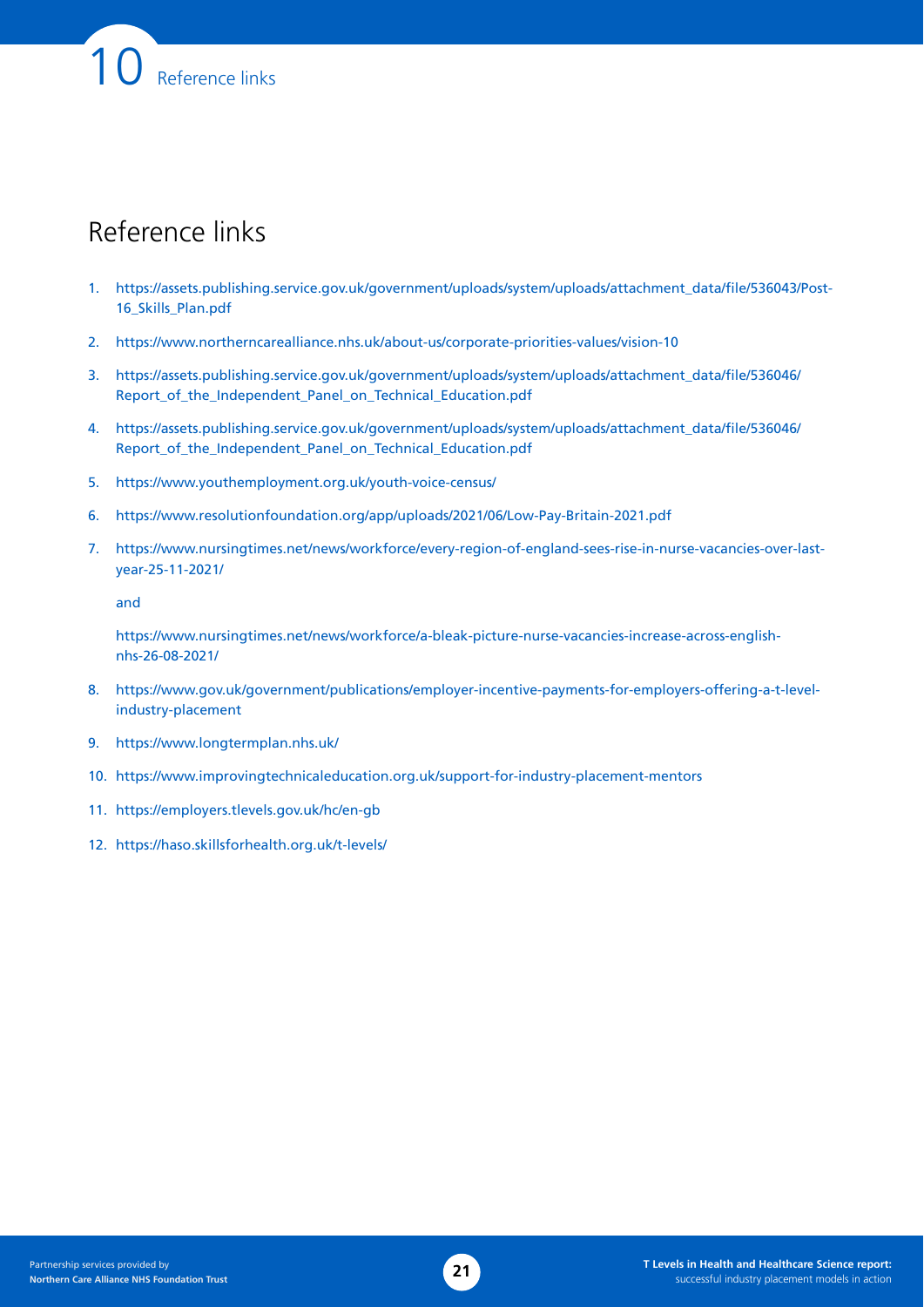# Reference links

Reference links

- 1. [https://assets.publishing.service.gov.uk/government/uploads/system/uploads/attachment\\_data/file/536043/Post-](https://assets.publishing.service.gov.uk/government/uploads/system/uploads/attachment_data/file/536043/Post-16_Skills_Plan.pdf)[16\\_Skills\\_Plan.pdf](https://assets.publishing.service.gov.uk/government/uploads/system/uploads/attachment_data/file/536043/Post-16_Skills_Plan.pdf)
- 2. [https://www.northerncarealliance.nhs.uk/about-us/corporate-priorities-values/vision-10](https://eur02.safelinks.protection.outlook.com/?url=https%3A%2F%2Fwww.northerncarealliance.nhs.uk%2Fabout-us%2Fcorporate-priorities-values%2Fvision-10&data=04%7C01%7C%7C9a6cea830e4a4065dacb08da02663680%7C9a12677ec2e94deba58aee1c59ac0161%7C0%7C0%7C637824935276576534%7CUnknown%7CTWFpbGZsb3d8eyJWIjoiMC4wLjAwMDAiLCJQIjoiV2luMzIiLCJBTiI6Ik1haWwiLCJXVCI6Mn0%3D%7C3000&sdata=9xkpvwxkNkyP5Upv8sm%2B%2F6KF9WSi93Xl4hRsB%2BTeQ2c%3D&reserved=0)
- 3. [https://assets.publishing.service.gov.uk/government/uploads/system/uploads/attachment\\_data/file/536046/](https://assets.publishing.service.gov.uk/government/uploads/system/uploads/attachment_data/file/536046/Report_of_the_Independent_Panel_on_Technical_Education.pdf) [Report\\_of\\_the\\_Independent\\_Panel\\_on\\_Technical\\_Education.pdf](https://assets.publishing.service.gov.uk/government/uploads/system/uploads/attachment_data/file/536046/Report_of_the_Independent_Panel_on_Technical_Education.pdf)
- 4. [https://assets.publishing.service.gov.uk/government/uploads/system/uploads/attachment\\_data/file/536046/](https://assets.publishing.service.gov.uk/government/uploads/system/uploads/attachment_data/file/536046/Report_of_the_Independent_Panel_on_Technical_Education.pdf) [Report\\_of\\_the\\_Independent\\_Panel\\_on\\_Technical\\_Education.pdf](https://assets.publishing.service.gov.uk/government/uploads/system/uploads/attachment_data/file/536046/Report_of_the_Independent_Panel_on_Technical_Education.pdf)
- 5. <https://www.youthemployment.org.uk/youth-voice-census/>
- 6. <https://www.resolutionfoundation.org/app/uploads/2021/06/Low-Pay-Britain-2021.pdf>
- 7. [https://www.nursingtimes.net/news/workforce/every-region-of-england-sees-rise-in-nurse-vacancies-over-last](https://www.nursingtimes.net/news/workforce/every-region-of-england-sees-rise-in-nurse-vacancies-over-last-year-25-11-2021/)[year-25-11-2021/](https://www.nursingtimes.net/news/workforce/every-region-of-england-sees-rise-in-nurse-vacancies-over-last-year-25-11-2021/)

and

[https://www.nursingtimes.net/news/workforce/a-bleak-picture-nurse-vacancies-increase-across-english](https://www.nursingtimes.net/news/workforce/a-bleak-picture-nurse-vacancies-increase-across-english-nhs-26-08-2021/)[nhs-26-08-2021/](https://www.nursingtimes.net/news/workforce/a-bleak-picture-nurse-vacancies-increase-across-english-nhs-26-08-2021/)

- 8. [https://www.gov.uk/government/publications/employer-incentive-payments-for-employers-offering-a-t-level](https://www.gov.uk/government/publications/employer-incentive-payments-for-employers-offering-a-t-level-industry-placement)[industry-placement](https://www.gov.uk/government/publications/employer-incentive-payments-for-employers-offering-a-t-level-industry-placement)
- 9. <https://www.longtermplan.nhs.uk/>
- 10. <https://www.improvingtechnicaleducation.org.uk/support-for-industry-placement-mentors>
- 11. <https://employers.tlevels.gov.uk/hc/en-gb>
- 12. <https://haso.skillsforhealth.org.uk/t-levels/>